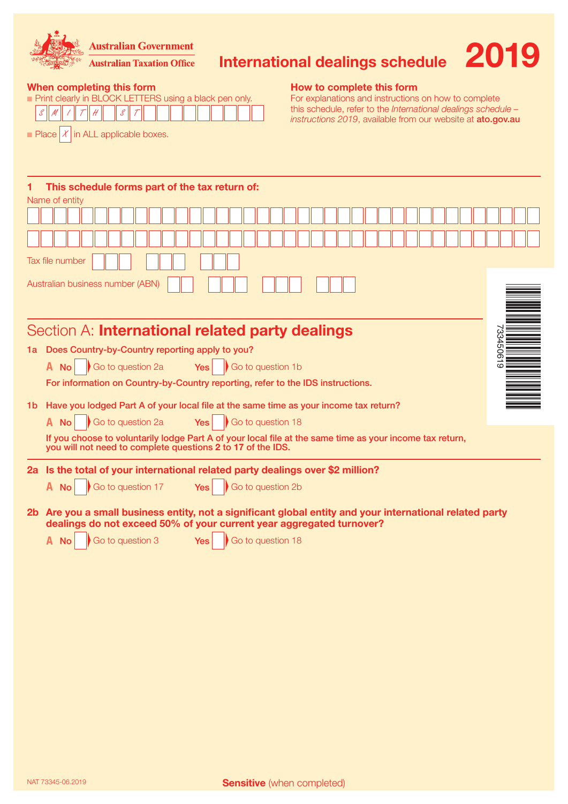**Australian Government** 

**Australian Taxation Office** 

# International dealings schedule 2019

#### When completing this form

 $\blacksquare$  Place  $X$  in ALL applicable boxes.

| Print clearly in BLOCK LETTERS using a black pen only. |  |  |  |  |  |  |  |  |  |
|--------------------------------------------------------|--|--|--|--|--|--|--|--|--|
|                                                        |  |  |  |  |  |  |  |  |  |

#### How to complete this form

For explanations and instructions on how to complete this schedule, refer to the *International dealings schedule – instructions 2019*, available from our website at **ato.gov.au** 

|     | This schedule forms part of the tax return of:<br>Name of entity                                                                                                                 |
|-----|----------------------------------------------------------------------------------------------------------------------------------------------------------------------------------|
|     |                                                                                                                                                                                  |
|     |                                                                                                                                                                                  |
|     | Tax file number                                                                                                                                                                  |
|     | Australian business number (ABN)                                                                                                                                                 |
|     | Section A: <b>International related party dealings</b>                                                                                                                           |
| 1a  | Does Country-by-Country reporting apply to you?                                                                                                                                  |
|     | Go to question 2a $Yes$<br>Go to question 1b<br>$A$ No                                                                                                                           |
|     | For information on Country-by-Country reporting, refer to the IDS instructions.                                                                                                  |
| 1b. | Have you lodged Part A of your local file at the same time as your income tax return?                                                                                            |
|     | Go to question 2a <b>Yes</b> Go to question 18<br>A No                                                                                                                           |
|     | If you choose to voluntarily lodge Part A of your local file at the same time as your income tax return,<br>you will not need to complete questions 2 to 17 of the IDS.          |
|     | 2a Is the total of your international related party dealings over \$2 million?                                                                                                   |
|     | Go to question 17 <b>Yes</b><br>Go to question 2b<br>A<br><b>No</b>                                                                                                              |
|     | 2b Are you a small business entity, not a significant global entity and your international related party<br>dealings do not exceed 50% of your current year aggregated turnover? |
|     | Go to question 3<br>Go to question 18<br>Yes<br><b>No</b>                                                                                                                        |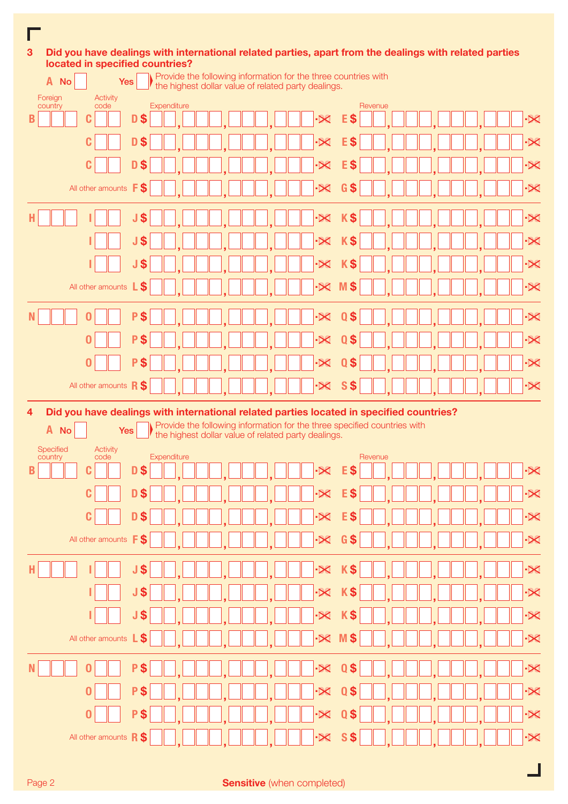| Did you have dealings with international related parties, apart from the dealings with related parties<br>3<br>located in specified countries? |                                   |            |  |             |  |  |  |  |  |                         |                           |                                                                                                                              |
|------------------------------------------------------------------------------------------------------------------------------------------------|-----------------------------------|------------|--|-------------|--|--|--|--|--|-------------------------|---------------------------|------------------------------------------------------------------------------------------------------------------------------|
| $\mathbf{A}$                                                                                                                                   | <b>No</b>                         | <b>Yes</b> |  |             |  |  |  |  |  |                         |                           | Provide the following information for the three countries with<br>the highest dollar value of related party dealings.        |
| Foreign<br>country                                                                                                                             | Activity<br>code                  |            |  | Expenditure |  |  |  |  |  |                         |                           | Revenue                                                                                                                      |
| В                                                                                                                                              | C                                 | D \$       |  |             |  |  |  |  |  | $\overline{\mathsf{K}}$ | \$<br>E                   | ·×                                                                                                                           |
|                                                                                                                                                |                                   |            |  |             |  |  |  |  |  | ⋖                       | E                         | ·×                                                                                                                           |
|                                                                                                                                                | C                                 |            |  |             |  |  |  |  |  | ≺                       | E                         | ·×                                                                                                                           |
|                                                                                                                                                | All other amounts                 | F<br>S     |  |             |  |  |  |  |  | $\bm{\times}$           | G                         | ·×                                                                                                                           |
|                                                                                                                                                |                                   | J \$       |  |             |  |  |  |  |  | $\mathbf{\times}$       | <b>K\$</b>                | $\overline{\mathsf{X}}$                                                                                                      |
|                                                                                                                                                |                                   | J S        |  |             |  |  |  |  |  | $\cdot \times$          | K<br><b>S</b>             | $\overline{\times}$                                                                                                          |
|                                                                                                                                                |                                   |            |  |             |  |  |  |  |  |                         | Κ<br><b>S</b>             | $\overline{\mathsf{X}}$                                                                                                      |
|                                                                                                                                                |                                   |            |  |             |  |  |  |  |  | $\mathbf{\cdot} \times$ |                           |                                                                                                                              |
|                                                                                                                                                | All other amounts L               | <b>S</b>   |  |             |  |  |  |  |  | $\mathbb{R}$            | <b>M\$</b>                | $\overline{\mathsf{X}}$                                                                                                      |
|                                                                                                                                                |                                   | P          |  |             |  |  |  |  |  | ż.                      | $\bf{0}$<br>$\mathbf{\$}$ | $-\times$                                                                                                                    |
|                                                                                                                                                |                                   |            |  |             |  |  |  |  |  | ⋖                       | N                         | $\overline{\mathsf{x}}$                                                                                                      |
|                                                                                                                                                |                                   |            |  |             |  |  |  |  |  | ⋖                       | S<br>N                    | $\overline{\times}$                                                                                                          |
|                                                                                                                                                | All other amounts $\mathbb{R}$ \$ |            |  |             |  |  |  |  |  | ⋖                       | S                         | ·×                                                                                                                           |
|                                                                                                                                                |                                   |            |  |             |  |  |  |  |  |                         |                           |                                                                                                                              |
| 4                                                                                                                                              |                                   |            |  |             |  |  |  |  |  |                         |                           | Did you have dealings with international related parties located in specified countries?                                     |
| $\mathbf{A}$                                                                                                                                   | <b>No</b>                         | <b>Yes</b> |  |             |  |  |  |  |  |                         |                           | Frovide the following information for the three specified countries with the highest dollar value of related party dealings. |
| Specified<br>country                                                                                                                           | <b>Activity</b><br>code           |            |  | Expenditure |  |  |  |  |  |                         |                           | Revenue                                                                                                                      |
| B                                                                                                                                              | C                                 | D\$        |  |             |  |  |  |  |  | $\cdot \times$          | E\$                       | ·×                                                                                                                           |
|                                                                                                                                                |                                   |            |  |             |  |  |  |  |  | $\bm{\times}$           | E \$                      | ż.                                                                                                                           |
|                                                                                                                                                |                                   |            |  |             |  |  |  |  |  | ∙×                      |                           | ż.                                                                                                                           |
|                                                                                                                                                | All other amounts                 | F<br>S     |  |             |  |  |  |  |  | $\mathbf{\infty}$       | $G$ \$                    | $\cdot \times$                                                                                                               |
|                                                                                                                                                |                                   | J \$       |  |             |  |  |  |  |  |                         | $-50K$ K\$                | $\mathbf{\hat{X}}$                                                                                                           |
|                                                                                                                                                |                                   |            |  |             |  |  |  |  |  | $\mathbf{\times}$       | <b>K\$</b>                | $\overline{\mathsf{x}}$                                                                                                      |
|                                                                                                                                                |                                   |            |  |             |  |  |  |  |  | $\mathbf{\times}$       | <b>K\$</b>                | $\overline{\mathsf{X}}$                                                                                                      |
|                                                                                                                                                | All other amounts                 | \$         |  |             |  |  |  |  |  | $\mathbf{\infty}$       | <b>M\$</b>                | ż                                                                                                                            |
|                                                                                                                                                |                                   |            |  |             |  |  |  |  |  |                         |                           |                                                                                                                              |
| N                                                                                                                                              |                                   |            |  |             |  |  |  |  |  | $\mathbf{\hat{X}}$      | $Q$ \$                    | $\overline{\mathsf{x}}$                                                                                                      |
|                                                                                                                                                |                                   |            |  |             |  |  |  |  |  | ż                       | $Q$ \$                    | $\overline{\mathsf{x}}$                                                                                                      |
|                                                                                                                                                |                                   |            |  |             |  |  |  |  |  | ۰×                      | Q<br>\$                   | ż                                                                                                                            |

 $\mathbf{\mathsf{I}}$ 

 $\blacksquare$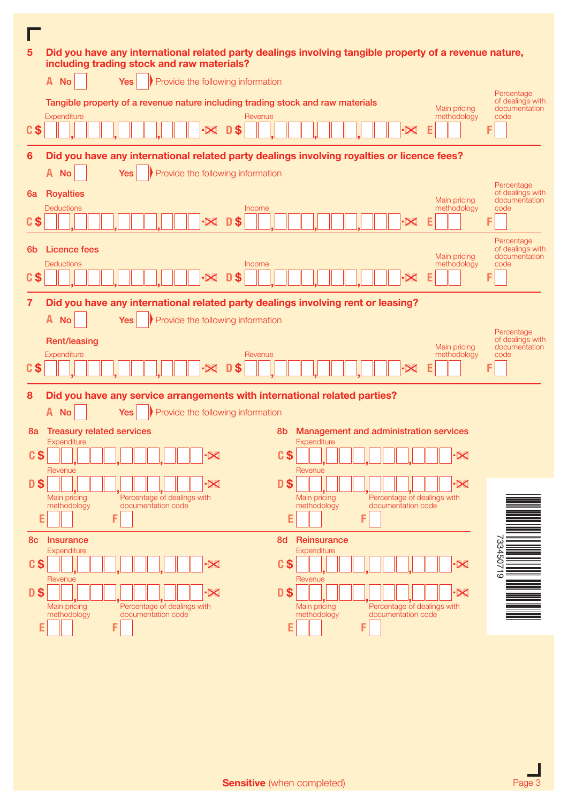| $5\phantom{1}$ | Did you have any international related party dealings involving tangible property of a revenue nature,<br>including trading stock and raw materials?                                |
|----------------|-------------------------------------------------------------------------------------------------------------------------------------------------------------------------------------|
|                | Provide the following information<br>$\mathsf{A}$<br><b>No</b><br><b>Yes</b>                                                                                                        |
|                | Percentage<br>of dealings with<br>Tangible property of a revenue nature including trading stock and raw materials<br>Main pricing<br>documentation                                  |
| $C$ \$         | Expenditure<br>Revenue<br>methodology<br>code<br>D<br>S<br>F<br>·X<br>·X                                                                                                            |
| 6              | Did you have any international related party dealings involving royalties or licence fees?                                                                                          |
|                | Provide the following information<br>A No<br>Yes                                                                                                                                    |
| 6a             | Percentage<br>of dealings with<br><b>Royalties</b><br>Main pricing<br>documentation                                                                                                 |
| C \$           | <b>Deductions</b><br>methodology<br>Income<br>code<br>D<br>F<br>·×<br>·×                                                                                                            |
|                | Percentage<br><b>Licence fees</b><br>of dealings with                                                                                                                               |
| 6b             | Main pricing<br>documentation<br><b>Deductions</b><br>Income<br>methodology<br>code                                                                                                 |
| $C$ \$         | \$<br>D<br>F<br>·×                                                                                                                                                                  |
| $\mathbf{7}$   | Did you have any international related party dealings involving rent or leasing?<br>Provide the following information<br>$\mathbf{A}$<br><b>No</b><br>Yes                           |
|                | Percentage<br>of dealings with<br><b>Rent/leasing</b>                                                                                                                               |
|                | Main pricing<br>documentation<br>Expenditure<br>methodology<br>Revenue<br>code                                                                                                      |
| $C$ \$         | \$<br>D<br>F                                                                                                                                                                        |
| 8              | Did you have any service arrangements with international related parties?<br>A<br>Provide the following information<br><b>No</b><br>Yes                                             |
| 8a             | <b>Treasury related services</b><br>Management and administration services<br>8b                                                                                                    |
| C <sub>s</sub> | Expenditure<br>Expenditure<br>$C$ \$<br>$-56$<br>$\overline{\times}$                                                                                                                |
| <b>D\$</b>     | Revenue<br>Revenue<br><b>D\$</b><br>$\overline{\times}$<br>$\overline{\times}$                                                                                                      |
|                | Percentage of dealings with<br>Percentage of dealings with<br>Main pricing<br>Main pricing<br>methodology<br>documentation code<br>methodology<br>documentation code                |
| E              | F<br>F<br>E                                                                                                                                                                         |
| 8c             | Insurance<br>8d<br>Reinsurance<br>Expenditure<br>Expenditure                                                                                                                        |
| $C$ \$         | 0733450719<br>$C$ \$<br>$\propto$<br>$\bm{\times}$<br>Revenue<br>Revenue                                                                                                            |
| $D$ \$         | <b>D\$</b><br>·×<br>ż.                                                                                                                                                              |
| E              | Percentage of dealings with<br>Percentage of dealings with<br>Main pricing<br>Main pricing<br>methodology<br>documentation code<br>methodology<br>documentation code<br>F<br>F<br>E |
|                |                                                                                                                                                                                     |
|                |                                                                                                                                                                                     |
|                |                                                                                                                                                                                     |
|                |                                                                                                                                                                                     |
|                |                                                                                                                                                                                     |
|                |                                                                                                                                                                                     |
|                | <b>Sensitive</b> (when completed)<br>Page 3                                                                                                                                         |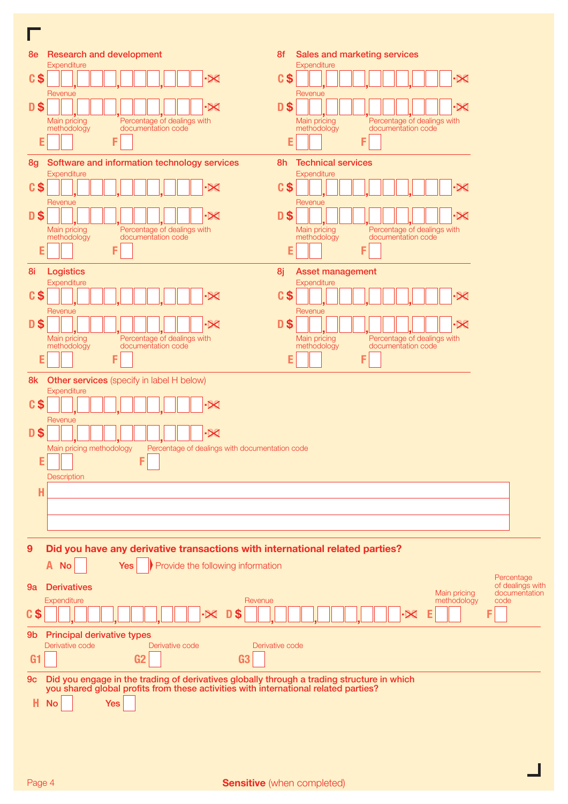| 8e          | <b>Research and development</b><br>Expenditure                                                                                                                                    | 8f            | Sales and marketing services<br>Expenditure                                           |
|-------------|-----------------------------------------------------------------------------------------------------------------------------------------------------------------------------------|---------------|---------------------------------------------------------------------------------------|
| $C$ \$      | ·×                                                                                                                                                                                | C\$           | ·×                                                                                    |
| <b>D</b> \$ | Revenue<br>$\bm{\times}$                                                                                                                                                          | <b>D\$</b>    | Revenue<br>$\bm{\times}$                                                              |
|             | Percentage of dealings with<br>Main pricing<br>methodology<br>documentation code                                                                                                  |               | Percentage of dealings with<br>Main pricing<br>methodology<br>documentation code      |
| E           | F                                                                                                                                                                                 | E             | F                                                                                     |
| 8g          | Software and information technology services<br>Expenditure                                                                                                                       | 8h l          | <b>Technical services</b><br>Expenditure                                              |
| C\$         | $\bm{\times}$<br>Revenue                                                                                                                                                          | C \$          | $\boldsymbol{\times}$<br>Revenue                                                      |
| <b>D</b> \$ | ·×                                                                                                                                                                                | <b>D\$</b>    | ·×                                                                                    |
| E           | Percentage of dealings with<br>Main pricing<br>methodology<br>documentation code<br>F                                                                                             | E             | Percentage of dealings with<br>Main pricing<br>methodology<br>documentation code<br>F |
| 8i          | <b>Logistics</b>                                                                                                                                                                  | <sup>8j</sup> | <b>Asset management</b>                                                               |
|             | Expenditure                                                                                                                                                                       |               | Expenditure                                                                           |
| $C$ \$      | $\bm{\times}$<br>Revenue                                                                                                                                                          | C \$          | $\bm{\times}$<br>Revenue                                                              |
| <b>D</b> \$ | ·×<br>Percentage of dealings with<br>Main pricing                                                                                                                                 | <b>D\$</b>    | ·×<br>Percentage of dealings with<br>Main pricing                                     |
|             | methodology<br>documentation code                                                                                                                                                 |               | methodology<br>documentation code                                                     |
| E           | F                                                                                                                                                                                 | E             | F                                                                                     |
|             | 8k Other services (specify in label H below)<br>Expenditure                                                                                                                       |               |                                                                                       |
| C\$         | ✕                                                                                                                                                                                 |               |                                                                                       |
| <b>D</b> \$ | Revenue<br>·X                                                                                                                                                                     |               |                                                                                       |
| F.          | Main pricing methodology<br>Percentage of dealings with documentation code<br>F                                                                                                   |               |                                                                                       |
|             | Description                                                                                                                                                                       |               |                                                                                       |
| H           |                                                                                                                                                                                   |               |                                                                                       |
|             |                                                                                                                                                                                   |               |                                                                                       |
|             |                                                                                                                                                                                   |               |                                                                                       |
| 9           | Did you have any derivative transactions with international related parties?                                                                                                      |               |                                                                                       |
|             | Provide the following information<br>A No<br><b>Yes</b>                                                                                                                           |               | Percentage                                                                            |
| 9a          | <b>Derivatives</b><br>Expenditure<br>Revenue                                                                                                                                      |               | of dealings with<br>Main pricing<br>documentation<br>methodology<br>code              |
| C\$         | $\mathbf{\hat{s}}$<br>D<br>$\propto$                                                                                                                                              |               | F<br>·×                                                                               |
| 9b.         | <b>Principal derivative types</b><br>Derivative code<br>Derivative code<br>Derivative code                                                                                        |               |                                                                                       |
| G1          | G <sub>2</sub><br>G <sub>3</sub>                                                                                                                                                  |               |                                                                                       |
| 9c          | Did you engage in the trading of derivatives globally through a trading structure in which<br>you shared global profits from these activities with international related parties? |               |                                                                                       |
| H.          | <b>No</b><br><b>Yes</b>                                                                                                                                                           |               |                                                                                       |
|             |                                                                                                                                                                                   |               |                                                                                       |
|             |                                                                                                                                                                                   |               |                                                                                       |

L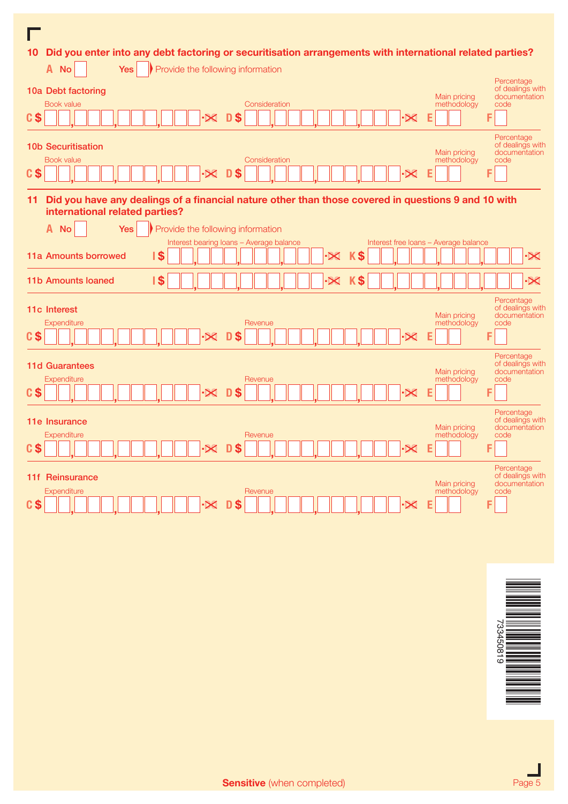| Did you enter into any debt factoring or securitisation arrangements with international related parties?<br>10<br>Provide the following information<br>A No<br>Yes |                                                              |
|--------------------------------------------------------------------------------------------------------------------------------------------------------------------|--------------------------------------------------------------|
| 10a Debt factoring<br>Main pricing<br><b>Book value</b><br>Consideration<br>methodology<br>CS<br>·×                                                                | Percentage<br>of dealings with<br>documentation<br>code<br>F |
| <b>10b Securitisation</b><br>Main pricing<br>Book value<br>Consideration<br>methodology<br>\$<br>C\$<br>D                                                          | Percentage<br>of dealings with<br>documentation<br>code<br>F |
| Did you have any dealings of a financial nature other than those covered in questions 9 and 10 with<br>11<br>international related parties?                        |                                                              |
| Provide the following information<br>A<br><b>Yes</b><br><b>No</b><br>Interest bearing loans - Average balance<br>Interest free Ioans - Average balance             |                                                              |
| \$<br>S<br>K<br>11a Amounts borrowed<br>·×                                                                                                                         | · $\times$                                                   |
| K<br>$\mathbf{\times}$<br>\$<br>\$<br>11b Amounts loaned                                                                                                           | ۰×                                                           |
| 11 <sub>c</sub> Interest<br>Main pricing<br>Expenditure<br>Revenue<br>methodology<br>C S<br>۰×<br>D<br>·×                                                          | Percentage<br>of dealings with<br>documentation<br>code<br>F |
| <b>11d Guarantees</b><br>Main pricing<br><b>Expenditure</b><br>Revenue<br>methodology<br>C \$<br>·∝                                                                | Percentage<br>of dealings with<br>documentation<br>code<br>F |
| 11e Insurance<br>Main pricing<br><b>Expenditure</b><br>Revenue<br>methodology<br>$\mathbb{L}$ as $\mathbb{R}$<br>$\sim$ $\sim$ $=$                                 | Percentage<br>of dealings with<br>documentation<br>code      |
| 11f Reinsurance<br>Main pricing<br>Expenditure<br>Revenue<br>methodology<br>$\mathbf{s}$<br>C \$<br>Ð<br>$\bowtie$                                                 | Percentage<br>of dealings with<br>documentation<br>code<br>F |

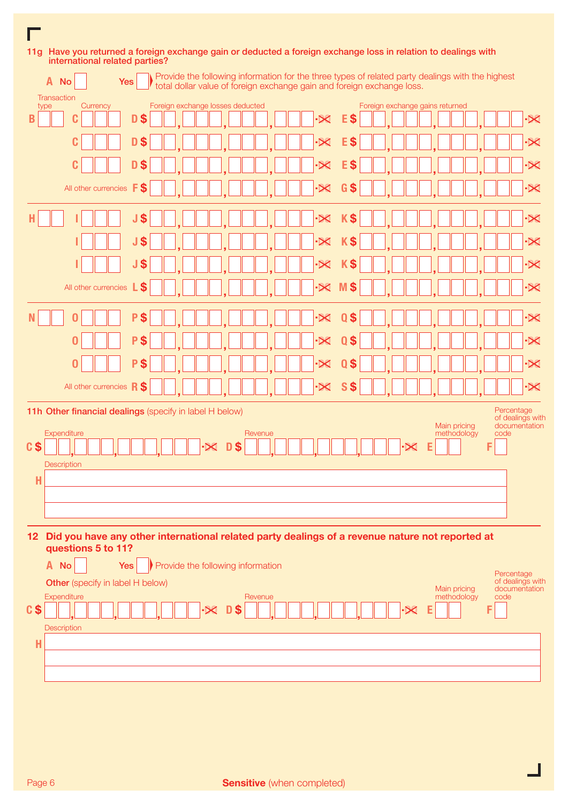| 11g Have you returned a foreign exchange gain or deducted a foreign exchange loss in relation to dealings with<br>international related parties?                                                        |
|---------------------------------------------------------------------------------------------------------------------------------------------------------------------------------------------------------|
| Provide the following information for the three types of related party dealings with the highest total dollar value of foreign exchange gain and foreign exchange loss.<br>A<br><b>No</b><br><b>Yes</b> |
| <b>Transaction</b><br>Foreign exchange losses deducted<br>Foreign exchange gains returned<br>Currency<br>type                                                                                           |
| C<br><b>S</b><br>Е<br>S<br>D<br>·×                                                                                                                                                                      |
| ·×                                                                                                                                                                                                      |
| C<br>·×                                                                                                                                                                                                 |
| All other currencies<br>F<br>G<br>·×<br>·×                                                                                                                                                              |
| \$<br>$\overline{\mathsf{X}}$<br>$\overline{\mathsf{K}}$                                                                                                                                                |
| S<br>$\overline{\times}$<br>⋖                                                                                                                                                                           |
| S<br>·×                                                                                                                                                                                                 |
| \$<br>All other currencies<br>$\propto$<br>∙×                                                                                                                                                           |
| $\overline{\times}$<br>0<br>\$<br>·×                                                                                                                                                                    |
| S<br>·×<br>$\propto$                                                                                                                                                                                    |
| ≺<br>$\bm{\times}$                                                                                                                                                                                      |
| S<br>All other currencies R \$<br>ż.<br>S<br>·×                                                                                                                                                         |
| Percentage<br>11h Other financial dealings (specify in label H below)<br>of dealings with                                                                                                               |
| Main pricing<br>documentation<br>Expenditure<br>Revenue<br>methodology<br>code                                                                                                                          |
| F<br>C \$<br><b>Description</b>                                                                                                                                                                         |
| H                                                                                                                                                                                                       |
|                                                                                                                                                                                                         |
|                                                                                                                                                                                                         |
| Did you have any other international related party dealings of a revenue nature not reported at<br>12 <sub>2</sub><br>questions 5 to 11?                                                                |
| Provide the following information<br>A<br><b>No</b><br><b>Yes</b><br>Percentage                                                                                                                         |
| of dealings with<br>Other (specify in label H below)<br>Main pricing<br>documentation<br>Expenditure<br>Revenue<br>methodology<br>code                                                                  |
| C <sub>5</sub>                                                                                                                                                                                          |
| Description                                                                                                                                                                                             |
| H                                                                                                                                                                                                       |
|                                                                                                                                                                                                         |
|                                                                                                                                                                                                         |

Page 6 **Sensitive** (when completed)

┙

П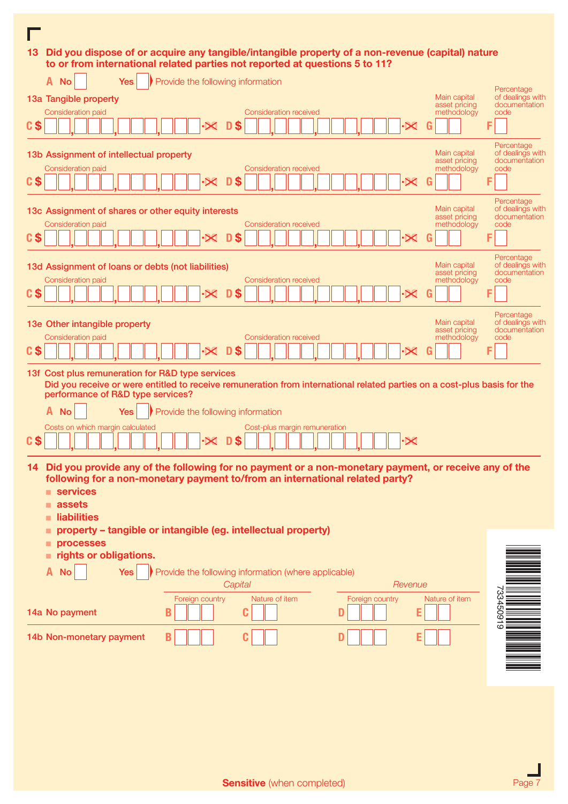| Did you dispose of or acquire any tangible/intangible property of a non-revenue (capital) nature<br>13.<br>to or from international related parties not reported at questions 5 to 11?                                                                                                                             |                                                 |
|--------------------------------------------------------------------------------------------------------------------------------------------------------------------------------------------------------------------------------------------------------------------------------------------------------------------|-------------------------------------------------|
| A No<br>Provide the following information<br><b>Yes</b>                                                                                                                                                                                                                                                            | Percentage                                      |
| Main capital<br>13a Tangible property<br>asset pricing<br>Consideration paid<br><b>Consideration received</b><br>methodology                                                                                                                                                                                       | of dealings with<br>documentation<br>code       |
| CS<br>$\bm{\times}$                                                                                                                                                                                                                                                                                                |                                                 |
| Main capital<br>13b Assignment of intellectual property<br>asset pricing                                                                                                                                                                                                                                           | Percentage<br>of dealings with<br>documentation |
| Consideration paid<br><b>Consideration received</b><br>methodology<br>\$<br>C\$                                                                                                                                                                                                                                    | code<br>F                                       |
| Main capital<br>13c Assignment of shares or other equity interests                                                                                                                                                                                                                                                 | Percentage<br>of dealings with                  |
| asset pricing<br>Consideration paid<br><b>Consideration received</b><br>methodology<br>\$<br>C \$                                                                                                                                                                                                                  | documentation<br>code<br>F                      |
|                                                                                                                                                                                                                                                                                                                    | Percentage                                      |
| Main capital<br>13d Assignment of loans or debts (not liabilities)<br>asset pricing<br>Consideration paid<br><b>Consideration received</b><br>methodology                                                                                                                                                          | of dealings with<br>documentation<br>code       |
| C S                                                                                                                                                                                                                                                                                                                |                                                 |
| Main capital<br>13e Other intangible property<br>asset pricing                                                                                                                                                                                                                                                     | Percentage<br>of dealings with<br>documentation |
| Consideration paid<br><b>Consideration received</b><br>methodology<br>D<br>S<br>C S<br>$\propto$                                                                                                                                                                                                                   | code                                            |
| 13f Cost plus remuneration for R&D type services<br>Did you receive or were entitled to receive remuneration from international related parties on a cost-plus basis for the<br>performance of R&D type services?                                                                                                  |                                                 |
| Provide the following information<br>A<br><b>No</b><br>Yes                                                                                                                                                                                                                                                         |                                                 |
| Costs on which margin calculated<br>Cost-plus margin remuneration<br>$C$ \$                                                                                                                                                                                                                                        |                                                 |
| Did you provide any of the following for no payment or a non-monetary payment, or receive any of the<br>14.<br>following for a non-monetary payment to/from an international related party?<br>services<br>assets<br>п<br><b>liabilities</b><br>п<br>property - tangible or intangible (eg. intellectual property) |                                                 |
| processes<br>п                                                                                                                                                                                                                                                                                                     |                                                 |
| rights or obligations.<br>п<br>Provide the following information (where applicable)<br>Α<br><b>No</b><br><b>Yes</b>                                                                                                                                                                                                |                                                 |
| Capital<br>Revenue<br>Nature of item<br>Nature of item<br>Foreign country<br>Foreign country                                                                                                                                                                                                                       | Č.                                              |
| B<br>C<br>Ε<br>14a No payment                                                                                                                                                                                                                                                                                      | 45<br>ငွ                                        |
| 14b Non-monetary payment                                                                                                                                                                                                                                                                                           | ဖ                                               |
|                                                                                                                                                                                                                                                                                                                    |                                                 |
|                                                                                                                                                                                                                                                                                                                    |                                                 |
|                                                                                                                                                                                                                                                                                                                    |                                                 |
|                                                                                                                                                                                                                                                                                                                    | Page                                            |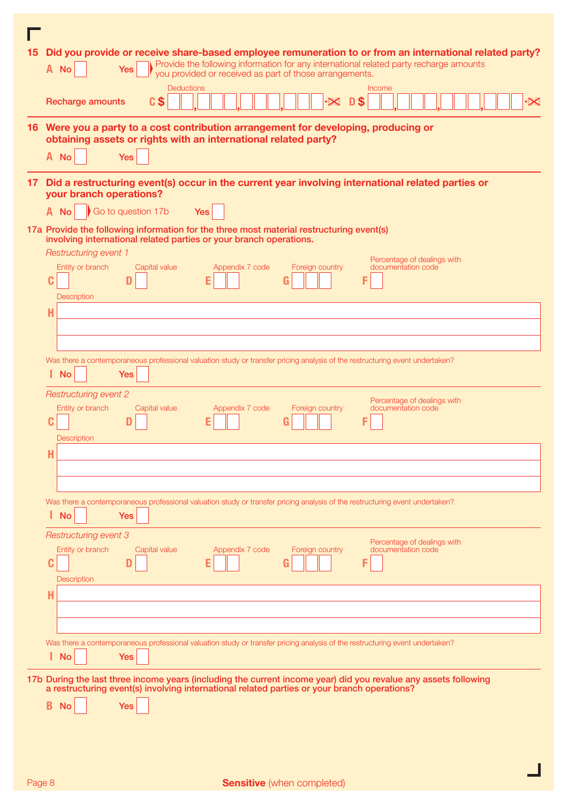|                 | \$                                                                                                                                                                                  |                                                                                                                                                                                                                                                  | ·X                                                                                                                                                                                                                                                                                                                                                                                                                                                                                                                                                                                                                                                                                                                                                                                                                                                                                                                                                                                                                                                                                                                                                                                                                                                                                      |
|-----------------|-------------------------------------------------------------------------------------------------------------------------------------------------------------------------------------|--------------------------------------------------------------------------------------------------------------------------------------------------------------------------------------------------------------------------------------------------|-----------------------------------------------------------------------------------------------------------------------------------------------------------------------------------------------------------------------------------------------------------------------------------------------------------------------------------------------------------------------------------------------------------------------------------------------------------------------------------------------------------------------------------------------------------------------------------------------------------------------------------------------------------------------------------------------------------------------------------------------------------------------------------------------------------------------------------------------------------------------------------------------------------------------------------------------------------------------------------------------------------------------------------------------------------------------------------------------------------------------------------------------------------------------------------------------------------------------------------------------------------------------------------------|
|                 |                                                                                                                                                                                     |                                                                                                                                                                                                                                                  |                                                                                                                                                                                                                                                                                                                                                                                                                                                                                                                                                                                                                                                                                                                                                                                                                                                                                                                                                                                                                                                                                                                                                                                                                                                                                         |
|                 |                                                                                                                                                                                     |                                                                                                                                                                                                                                                  |                                                                                                                                                                                                                                                                                                                                                                                                                                                                                                                                                                                                                                                                                                                                                                                                                                                                                                                                                                                                                                                                                                                                                                                                                                                                                         |
|                 |                                                                                                                                                                                     |                                                                                                                                                                                                                                                  |                                                                                                                                                                                                                                                                                                                                                                                                                                                                                                                                                                                                                                                                                                                                                                                                                                                                                                                                                                                                                                                                                                                                                                                                                                                                                         |
|                 |                                                                                                                                                                                     |                                                                                                                                                                                                                                                  |                                                                                                                                                                                                                                                                                                                                                                                                                                                                                                                                                                                                                                                                                                                                                                                                                                                                                                                                                                                                                                                                                                                                                                                                                                                                                         |
|                 |                                                                                                                                                                                     |                                                                                                                                                                                                                                                  |                                                                                                                                                                                                                                                                                                                                                                                                                                                                                                                                                                                                                                                                                                                                                                                                                                                                                                                                                                                                                                                                                                                                                                                                                                                                                         |
| Appendix 7 code | Foreign country                                                                                                                                                                     |                                                                                                                                                                                                                                                  |                                                                                                                                                                                                                                                                                                                                                                                                                                                                                                                                                                                                                                                                                                                                                                                                                                                                                                                                                                                                                                                                                                                                                                                                                                                                                         |
|                 |                                                                                                                                                                                     |                                                                                                                                                                                                                                                  |                                                                                                                                                                                                                                                                                                                                                                                                                                                                                                                                                                                                                                                                                                                                                                                                                                                                                                                                                                                                                                                                                                                                                                                                                                                                                         |
|                 |                                                                                                                                                                                     |                                                                                                                                                                                                                                                  |                                                                                                                                                                                                                                                                                                                                                                                                                                                                                                                                                                                                                                                                                                                                                                                                                                                                                                                                                                                                                                                                                                                                                                                                                                                                                         |
|                 |                                                                                                                                                                                     |                                                                                                                                                                                                                                                  |                                                                                                                                                                                                                                                                                                                                                                                                                                                                                                                                                                                                                                                                                                                                                                                                                                                                                                                                                                                                                                                                                                                                                                                                                                                                                         |
|                 |                                                                                                                                                                                     |                                                                                                                                                                                                                                                  |                                                                                                                                                                                                                                                                                                                                                                                                                                                                                                                                                                                                                                                                                                                                                                                                                                                                                                                                                                                                                                                                                                                                                                                                                                                                                         |
|                 |                                                                                                                                                                                     |                                                                                                                                                                                                                                                  |                                                                                                                                                                                                                                                                                                                                                                                                                                                                                                                                                                                                                                                                                                                                                                                                                                                                                                                                                                                                                                                                                                                                                                                                                                                                                         |
|                 |                                                                                                                                                                                     |                                                                                                                                                                                                                                                  |                                                                                                                                                                                                                                                                                                                                                                                                                                                                                                                                                                                                                                                                                                                                                                                                                                                                                                                                                                                                                                                                                                                                                                                                                                                                                         |
|                 |                                                                                                                                                                                     |                                                                                                                                                                                                                                                  |                                                                                                                                                                                                                                                                                                                                                                                                                                                                                                                                                                                                                                                                                                                                                                                                                                                                                                                                                                                                                                                                                                                                                                                                                                                                                         |
|                 |                                                                                                                                                                                     |                                                                                                                                                                                                                                                  |                                                                                                                                                                                                                                                                                                                                                                                                                                                                                                                                                                                                                                                                                                                                                                                                                                                                                                                                                                                                                                                                                                                                                                                                                                                                                         |
|                 |                                                                                                                                                                                     |                                                                                                                                                                                                                                                  |                                                                                                                                                                                                                                                                                                                                                                                                                                                                                                                                                                                                                                                                                                                                                                                                                                                                                                                                                                                                                                                                                                                                                                                                                                                                                         |
|                 |                                                                                                                                                                                     |                                                                                                                                                                                                                                                  |                                                                                                                                                                                                                                                                                                                                                                                                                                                                                                                                                                                                                                                                                                                                                                                                                                                                                                                                                                                                                                                                                                                                                                                                                                                                                         |
|                 |                                                                                                                                                                                     |                                                                                                                                                                                                                                                  |                                                                                                                                                                                                                                                                                                                                                                                                                                                                                                                                                                                                                                                                                                                                                                                                                                                                                                                                                                                                                                                                                                                                                                                                                                                                                         |
|                 |                                                                                                                                                                                     |                                                                                                                                                                                                                                                  |                                                                                                                                                                                                                                                                                                                                                                                                                                                                                                                                                                                                                                                                                                                                                                                                                                                                                                                                                                                                                                                                                                                                                                                                                                                                                         |
|                 |                                                                                                                                                                                     |                                                                                                                                                                                                                                                  |                                                                                                                                                                                                                                                                                                                                                                                                                                                                                                                                                                                                                                                                                                                                                                                                                                                                                                                                                                                                                                                                                                                                                                                                                                                                                         |
|                 |                                                                                                                                                                                     |                                                                                                                                                                                                                                                  |                                                                                                                                                                                                                                                                                                                                                                                                                                                                                                                                                                                                                                                                                                                                                                                                                                                                                                                                                                                                                                                                                                                                                                                                                                                                                         |
|                 |                                                                                                                                                                                     |                                                                                                                                                                                                                                                  |                                                                                                                                                                                                                                                                                                                                                                                                                                                                                                                                                                                                                                                                                                                                                                                                                                                                                                                                                                                                                                                                                                                                                                                                                                                                                         |
|                 |                                                                                                                                                                                     |                                                                                                                                                                                                                                                  |                                                                                                                                                                                                                                                                                                                                                                                                                                                                                                                                                                                                                                                                                                                                                                                                                                                                                                                                                                                                                                                                                                                                                                                                                                                                                         |
|                 |                                                                                                                                                                                     |                                                                                                                                                                                                                                                  |                                                                                                                                                                                                                                                                                                                                                                                                                                                                                                                                                                                                                                                                                                                                                                                                                                                                                                                                                                                                                                                                                                                                                                                                                                                                                         |
|                 |                                                                                                                                                                                     |                                                                                                                                                                                                                                                  |                                                                                                                                                                                                                                                                                                                                                                                                                                                                                                                                                                                                                                                                                                                                                                                                                                                                                                                                                                                                                                                                                                                                                                                                                                                                                         |
|                 |                                                                                                                                                                                     |                                                                                                                                                                                                                                                  |                                                                                                                                                                                                                                                                                                                                                                                                                                                                                                                                                                                                                                                                                                                                                                                                                                                                                                                                                                                                                                                                                                                                                                                                                                                                                         |
|                 | <b>Deductions</b><br>$C$ \$<br>your branch operations?<br>Go to question 17b<br><b>Yes</b><br>Capital value<br>Capital value<br>Appendix 7 code<br>Capital value<br>Appendix 7 code | you provided or received as part of those arrangements.<br>obtaining assets or rights with an international related party?<br>involving international related parties or your branch operations.<br>Foreign country<br>G<br>Foreign country<br>G | Did you provide or receive share-based employee remuneration to or from an international related party?<br>Provide the following information for any international related party recharge amounts<br>Income<br>16 Were you a party to a cost contribution arrangement for developing, producing or<br>17 Did a restructuring event(s) occur in the current year involving international related parties or<br>17a Provide the following information for the three most material restructuring event(s)<br>Percentage of dealings with<br>documentation code<br>Was there a contemporaneous professional valuation study or transfer pricing analysis of the restructuring event undertaken?<br>Percentage of dealings with<br>documentation code<br>Was there a contemporaneous professional valuation study or transfer pricing analysis of the restructuring event undertaken?<br>Percentage of dealings with<br>documentation code<br>Was there a contemporaneous professional valuation study or transfer pricing analysis of the restructuring event undertaken?<br>17b During the last three income years (including the current income year) did you revalue any assets following<br>a restructuring event(s) involving international related parties or your branch operations? |

┙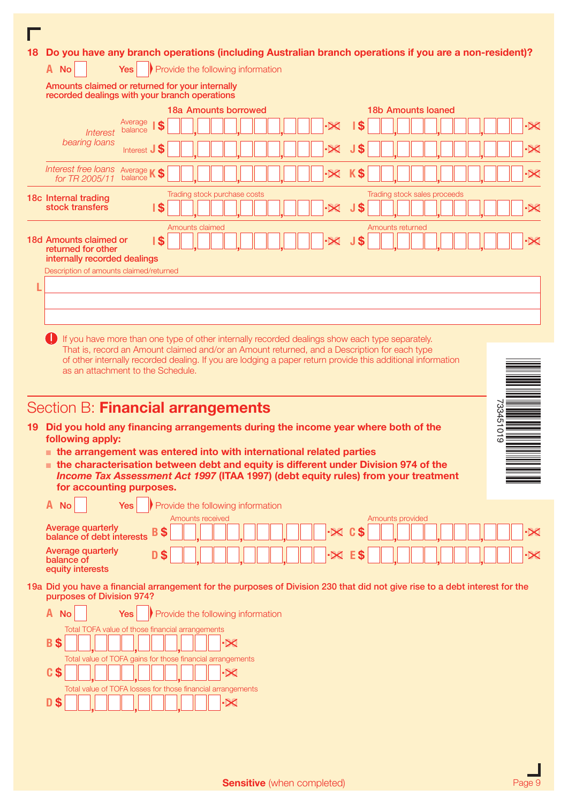| 18 | Do you have any branch operations (including Australian branch operations if you are a non-resident)?<br>Provide the following information<br>A No<br>Yes                                       |
|----|-------------------------------------------------------------------------------------------------------------------------------------------------------------------------------------------------|
|    | Amounts claimed or returned for your internally                                                                                                                                                 |
|    | recorded dealings with your branch operations                                                                                                                                                   |
|    | 18a Amounts borrowed<br>18b Amounts loaned<br>Average<br>·×                                                                                                                                     |
|    | balance<br><i><u><b>Interest</b></u></i><br>bearing loans<br>·×<br>Interest J \$                                                                                                                |
|    | Interest free loans Average K \$<br>·X<br>·×                                                                                                                                                    |
|    | balance<br>for TR 2005/11<br>Trading stock purchase costs<br>Trading stock sales proceeds                                                                                                       |
|    | 18c Internal trading<br>stock transfers<br>۱\$<br>·×<br>·×                                                                                                                                      |
|    | <b>Amounts claimed</b><br>Amounts returned<br>18d Amounts claimed or<br>1\$<br>$\overline{\times}$<br>◁<br>returned for other<br>internally recorded dealings                                   |
|    | Description of amounts claimed/returned                                                                                                                                                         |
|    |                                                                                                                                                                                                 |
|    |                                                                                                                                                                                                 |
|    | If you have more than one type of other internally recorded dealings show each type separately.<br>That is, record an Amount claimed and/or an Amount returned, and a Description for each type |
|    | of other internally recorded dealing. If you are lodging a paper return provide this additional information<br>as an attachment to the Schedule.                                                |
|    |                                                                                                                                                                                                 |
|    | Section B: Financial arrangements<br>3345                                                                                                                                                       |
| 19 | Did you hold any financing arrangements during the income year where both of the<br>$\supseteq$                                                                                                 |
|    | following apply:<br>$\circ$<br>the arrangement was entered into with international related parties                                                                                              |
|    | the characterisation between debt and equity is different under Division 974 of the                                                                                                             |
|    | Income Tax Assessment Act 1997 (ITAA 1997) (debt equity rules) from your treatment<br>for accounting purposes.                                                                                  |
|    | Provide the following information<br>A<br><b>No</b><br>Yes                                                                                                                                      |
|    | <b>Amounts received</b><br>Amounts provided<br>Average quarterly<br>$\mathbf{\hat{s}}$<br>$\boldsymbol{\times}$<br>balance of debt interests                                                    |
|    | Average quarterly<br>D\$<br>$\overline{\times}$<br>$\overline{\mathsf{K}}$                                                                                                                      |
|    | balance of<br>equity interests                                                                                                                                                                  |
|    | 19a Did you have a financial arrangement for the purposes of Division 230 that did not give rise to a debt interest for the<br>purposes of Division 974?                                        |
|    | Provide the following information<br>A<br>No<br>Yes                                                                                                                                             |
|    | Total TOFA value of those financial arrangements<br><b>B</b> \$<br>·×                                                                                                                           |
|    | Total value of TOFA gains for those financial arrangements                                                                                                                                      |
|    | $C$ \$<br>·×                                                                                                                                                                                    |
|    |                                                                                                                                                                                                 |
|    | Total value of TOFA losses for those financial arrangements<br>$D$ \$<br>·×                                                                                                                     |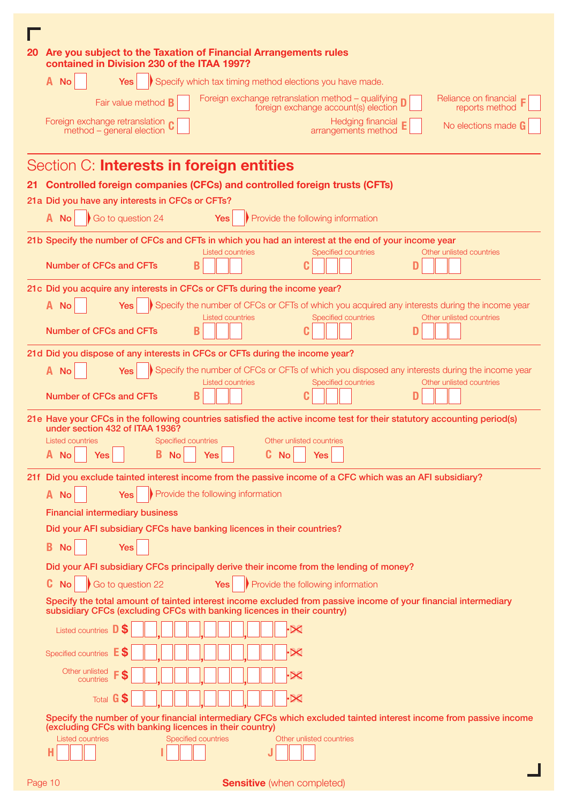| 20  | Are you subject to the Taxation of Financial Arrangements rules<br>contained in Division 230 of the ITAA 1997?                                                                                                                       |
|-----|--------------------------------------------------------------------------------------------------------------------------------------------------------------------------------------------------------------------------------------|
|     | Specify which tax timing method elections you have made.<br>A<br><b>No</b><br>Yes:                                                                                                                                                   |
|     | Foreign exchange retranslation method – qualifying $\blacksquare$<br>Reliance on financial $\blacksquare$<br>Fair value method <b>B</b><br>foreign exchange account(s) election<br>reports method                                    |
|     | Hedging financial<br>Foreign exchange retranslation $\sim$<br>No elections made C<br>method – general election $\mathbf{u}$<br>arrangements method                                                                                   |
|     | Section C: Interests in foreign entities                                                                                                                                                                                             |
| 21. | <b>Controlled foreign companies (CFCs) and controlled foreign trusts (CFTs)</b>                                                                                                                                                      |
|     | 21a Did you have any interests in CFCs or CFTs?                                                                                                                                                                                      |
|     | Go to question 24<br>Provide the following information<br>A No<br><b>Yes</b>                                                                                                                                                         |
|     | 21b Specify the number of CFCs and CFTs in which you had an interest at the end of your income year<br><b>Listed countries</b><br><b>Specified countries</b><br>Other unlisted countries<br><b>Number of CFCs and CFTs</b><br>C<br>в |
|     | 21c Did you acquire any interests in CFCs or CFTs during the income year?                                                                                                                                                            |
|     | Specify the number of CFCs or CFTs of which you acquired any interests during the income year<br>A No<br>Yes<br><b>Specified countries</b><br><b>Listed countries</b><br>Other unlisted countries                                    |
|     | <b>Number of CFCs and CFTs</b>                                                                                                                                                                                                       |
|     | 21d Did you dispose of any interests in CFCs or CFTs during the income year?                                                                                                                                                         |
|     | Specify the number of CFCs or CFTs of which you disposed any interests during the income year<br>A No<br>Yes:<br><b>Specified countries</b><br><b>Listed countries</b><br>Other unlisted countries                                   |
|     | <b>Number of CFCs and CFTs</b><br>В<br>C<br>D                                                                                                                                                                                        |
|     | 21e Have your CFCs in the following countries satisfied the active income test for their statutory accounting period(s)<br>under section 432 of ITAA 1936?                                                                           |
|     | Specified countries<br>Other unlisted countries<br><b>Listed countries</b>                                                                                                                                                           |
|     | C No<br>B<br>A No<br><b>No</b><br>Yes<br><b>Yes</b><br><b>Yes</b>                                                                                                                                                                    |
|     | 21f Did you exclude tainted interest income from the passive income of a CFC which was an AFI subsidiary?                                                                                                                            |
|     | Provide the following information<br>A No<br><b>Yes</b>                                                                                                                                                                              |
|     | <b>Financial intermediary business</b><br>Did your AFI subsidiary CFCs have banking licences in their countries?                                                                                                                     |
|     | B<br><b>Yes</b><br><b>No</b>                                                                                                                                                                                                         |
|     | Did your AFI subsidiary CFCs principally derive their income from the lending of money?                                                                                                                                              |
|     | Provide the following information<br>Go to question 22<br>C<br><b>Yes</b><br><b>No</b>                                                                                                                                               |
|     | Specify the total amount of tainted interest income excluded from passive income of your financial intermediary<br>subsidiary CFCs (excluding CFCs with banking licences in their country)                                           |
|     | Listed countries $\mathbf D$ \$                                                                                                                                                                                                      |
|     | Specified countries E \$                                                                                                                                                                                                             |
|     | Other unlisted<br>countries                                                                                                                                                                                                          |
|     | Total G \$                                                                                                                                                                                                                           |
|     | Specify the number of your financial intermediary CFCs which excluded tainted interest income from passive income                                                                                                                    |
|     | (excluding CFCs with banking licences in their country)<br><b>Listed countries</b><br><b>Specified countries</b><br>Other unlisted countries                                                                                         |
|     |                                                                                                                                                                                                                                      |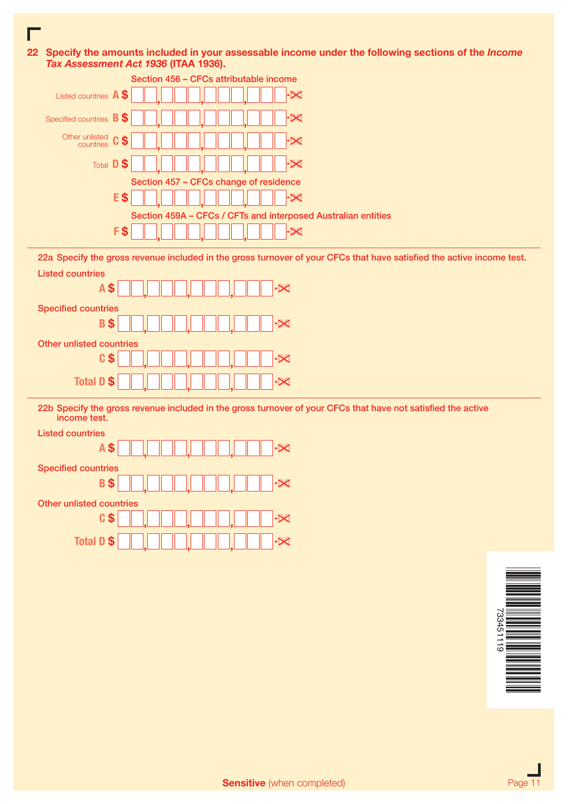| 22 Specify the amounts included in your assessable income under the following sections of the <i>Income</i> |  |
|-------------------------------------------------------------------------------------------------------------|--|
| Tax Assessment Act 1936 (ITAA 1936).                                                                        |  |

|                                 | Section 456 – CFCs attributable income                        |
|---------------------------------|---------------------------------------------------------------|
| Listed countries A \$           | $\overline{\times}$                                           |
| Specified countries <b>B</b> \$ |                                                               |
| Other unlisted $\cos \theta$    | ż                                                             |
| Total D <sub>\$</sub>           | $\overline{\mathbf{X}}$                                       |
|                                 | Section 457 - CFCs change of residence                        |
| E\$                             |                                                               |
|                                 | Section 459A - CFCs / CFTs and interposed Australian entities |
| F S                             |                                                               |

22a Specify the gross revenue included in the gross turnover of your CFCs that have satisfied the active income test. Listed countries

| LISICU UUUHIIICS                  |
|-----------------------------------|
| A\$                               |
| <b>Specified countries</b>        |
| <b>B\$</b><br>$\infty$            |
| <b>Other unlisted countries</b>   |
| $C$ \$<br>$\overline{\mathbf{X}}$ |
| Total D \$                        |
|                                   |

22b Specify the gross revenue included in the gross turnover of your CFCs that have not satisfied the active income test.

| <b>Listed countries</b>         |
|---------------------------------|
| A\$                             |
| <b>Specified countries</b>      |
| <b>B</b> \$<br>·×               |
| <b>Other unlisted countries</b> |
| $C$ \$<br>$\mathbf{\times}$     |
| Total D \$                      |

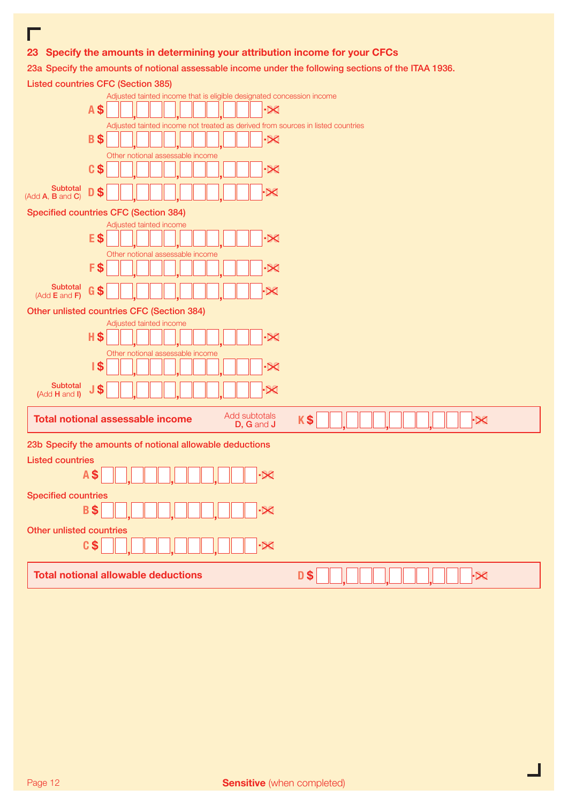# 23 Specify the amounts in determining your attribution income for your CFCs

23a Specify the amounts of notional assessable income under the following sections of the ITAA 1936.

| <b>Listed countries CFC (Section 385)</b>                |             |  |                         |  |                                  |  |               |                         |                                                                                 |
|----------------------------------------------------------|-------------|--|-------------------------|--|----------------------------------|--|---------------|-------------------------|---------------------------------------------------------------------------------|
|                                                          |             |  |                         |  |                                  |  |               |                         | Adjusted tainted income that is eligible designated concession income           |
|                                                          | A\$         |  |                         |  |                                  |  |               | ż                       |                                                                                 |
|                                                          |             |  |                         |  |                                  |  |               |                         | Adjusted tainted income not treated as derived from sources in listed countries |
|                                                          | <b>B\$</b>  |  |                         |  |                                  |  |               | ·×                      |                                                                                 |
|                                                          |             |  |                         |  | Other notional assessable income |  |               |                         |                                                                                 |
|                                                          | $C$ \$      |  |                         |  |                                  |  |               | ż                       |                                                                                 |
| Subtotal<br>(Add A, B and C)                             | D<br>\$     |  |                         |  |                                  |  |               | $\times$                |                                                                                 |
| <b>Specified countries CFC (Section 384)</b>             |             |  |                         |  |                                  |  |               |                         |                                                                                 |
|                                                          |             |  | Adjusted tainted income |  |                                  |  |               |                         |                                                                                 |
|                                                          | <b>E\$</b>  |  |                         |  |                                  |  |               | $\overline{\mathsf{x}}$ |                                                                                 |
|                                                          |             |  |                         |  | Other notional assessable income |  |               |                         |                                                                                 |
|                                                          | F\$         |  |                         |  |                                  |  |               | $\overline{\mathsf{x}}$ |                                                                                 |
| Subtotal<br>(Add E and F)                                | G<br>\$     |  |                         |  |                                  |  |               | $\overline{\mathsf{X}}$ |                                                                                 |
| Other unlisted countries CFC (Section 384)               |             |  |                         |  |                                  |  |               |                         |                                                                                 |
|                                                          |             |  | Adjusted tainted income |  |                                  |  |               |                         |                                                                                 |
|                                                          | $H$ \$      |  |                         |  | Other notional assessable income |  |               | $\overline{\mathsf{x}}$ |                                                                                 |
|                                                          | 1\$         |  |                         |  |                                  |  |               | $\overline{\mathsf{x}}$ |                                                                                 |
| <b>Subtotal</b>                                          | J\$         |  |                         |  |                                  |  |               | $\overline{\mathsf{X}}$ |                                                                                 |
| (Add H and I)                                            |             |  |                         |  |                                  |  |               |                         |                                                                                 |
| <b>Total notional assessable income</b>                  |             |  |                         |  |                                  |  | Add subtotals | D, G and J              | K\$<br>$\overline{\mathbf{X}}$                                                  |
| 23b Specify the amounts of notional allowable deductions |             |  |                         |  |                                  |  |               |                         |                                                                                 |
| <b>Listed countries</b>                                  |             |  |                         |  |                                  |  |               |                         |                                                                                 |
|                                                          | A \$        |  |                         |  |                                  |  |               | ·×                      |                                                                                 |
| <b>Specified countries</b>                               |             |  |                         |  |                                  |  |               |                         |                                                                                 |
|                                                          | <b>B</b> \$ |  |                         |  |                                  |  |               | ·×                      |                                                                                 |
| <b>Other unlisted countries</b>                          |             |  |                         |  |                                  |  |               |                         |                                                                                 |
|                                                          | $C$ \$      |  |                         |  |                                  |  |               | $\cdot \times$          |                                                                                 |
| <b>Total notional allowable deductions</b>               |             |  |                         |  |                                  |  |               |                         | <b>D\$</b><br>$\infty$                                                          |

п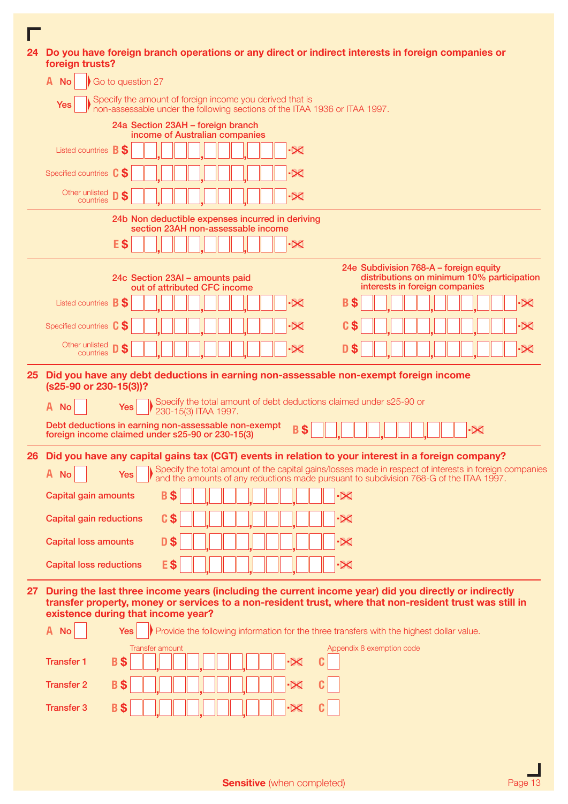# г 24 Do you have foreign branch operations or any direct or indirect interests in foreign companies or foreign trusts?

|                 | foreign trusts?                                                                                          |                                                          |                        |                                    |  |                         |             |                                        |                     |                                                                                                                                                                                                                   |
|-----------------|----------------------------------------------------------------------------------------------------------|----------------------------------------------------------|------------------------|------------------------------------|--|-------------------------|-------------|----------------------------------------|---------------------|-------------------------------------------------------------------------------------------------------------------------------------------------------------------------------------------------------------------|
|                 | $\mathbf{A}$<br><b>No</b>                                                                                | Go to question 27                                        |                        |                                    |  |                         |             |                                        |                     |                                                                                                                                                                                                                   |
|                 | <b>Yes</b>                                                                                               | Specify the amount of foreign income you derived that is |                        |                                    |  |                         |             |                                        |                     | non-assessable under the following sections of the ITAA 1936 or ITAA 1997.                                                                                                                                        |
|                 |                                                                                                          | 24a Section 23AH - foreign branch                        |                        | income of Australian companies     |  |                         |             |                                        |                     |                                                                                                                                                                                                                   |
|                 | Listed countries $\mathbf B$                                                                             |                                                          |                        |                                    |  | ż                       |             |                                        |                     |                                                                                                                                                                                                                   |
|                 | Specified countries C                                                                                    |                                                          |                        |                                    |  |                         |             |                                        |                     |                                                                                                                                                                                                                   |
|                 | Other unlisted<br>countries                                                                              |                                                          |                        |                                    |  | ·×                      |             |                                        |                     |                                                                                                                                                                                                                   |
|                 |                                                                                                          | 24b Non deductible expenses incurred in deriving         |                        | section 23AH non-assessable income |  |                         |             |                                        |                     |                                                                                                                                                                                                                   |
|                 |                                                                                                          | E\$                                                      |                        |                                    |  | $\overline{\mathsf{X}}$ |             |                                        |                     |                                                                                                                                                                                                                   |
|                 |                                                                                                          |                                                          |                        |                                    |  |                         |             |                                        |                     | 24e Subdivision 768-A – foreign equity                                                                                                                                                                            |
|                 |                                                                                                          | 24c Section 23AI - amounts paid                          |                        | out of attributed CFC income       |  |                         |             |                                        |                     | distributions on minimum 10% participation<br>interests in foreign companies                                                                                                                                      |
|                 | <b>Listed countries</b>                                                                                  | B                                                        |                        |                                    |  | ·×                      |             |                                        | <b>B</b> \$         | $\overline{\times}$                                                                                                                                                                                               |
|                 | <b>Specified countries</b>                                                                               | C                                                        |                        |                                    |  | ·×                      |             |                                        | C \$                | ·×                                                                                                                                                                                                                |
|                 | Other unlisted<br>countries                                                                              | $\mathbf{D}$<br>\$                                       |                        |                                    |  | $\overline{\times}$     |             |                                        | D\$                 | ∙∝                                                                                                                                                                                                                |
| 25 <sup>°</sup> | (s25-90 or 230-15(3))?                                                                                   |                                                          |                        |                                    |  |                         |             |                                        |                     | Did you have any debt deductions in earning non-assessable non-exempt foreign income                                                                                                                              |
|                 | A No                                                                                                     | Yes                                                      |                        | 230-15(3) ITAA 1997.               |  |                         |             |                                        |                     | Specify the total amount of debt deductions claimed under s25-90 or                                                                                                                                               |
|                 | Debt deductions in earning non-assessable non-exempt<br>foreign income claimed under s25-90 or 230-15(3) |                                                          |                        |                                    |  |                         | <b>B</b> \$ |                                        |                     | $\cdot \times$                                                                                                                                                                                                    |
| 26              |                                                                                                          |                                                          |                        |                                    |  |                         |             |                                        |                     | Did you have any capital gains tax (CGT) events in relation to your interest in a foreign company?                                                                                                                |
|                 | A<br><b>No</b>                                                                                           | Yes                                                      |                        |                                    |  |                         |             |                                        |                     | Specify the total amount of the capital gains/losses made in respect of interests in foreign companies and the amounts of any reductions made pursuant to subdivision 768-G of the ITAA 1997.                     |
|                 | Capital gain amounts                                                                                     |                                                          | <b>B</b> \$            |                                    |  |                         |             | والمسامس المسامسات المسامسات المسامسات | ∙×                  |                                                                                                                                                                                                                   |
|                 | <b>Capital gain reductions</b>                                                                           |                                                          | C \$                   |                                    |  |                         |             |                                        | $\bm{\times}$       |                                                                                                                                                                                                                   |
|                 | <b>Capital loss amounts</b>                                                                              |                                                          | D \$                   |                                    |  |                         |             |                                        | $\bm{\times}$       |                                                                                                                                                                                                                   |
|                 | <b>Capital loss reductions</b>                                                                           |                                                          | E \$                   |                                    |  |                         |             |                                        | $\overline{\times}$ |                                                                                                                                                                                                                   |
| 27              | existence during that income year?                                                                       |                                                          |                        |                                    |  |                         |             |                                        |                     | During the last three income years (including the current income year) did you directly or indirectly<br>transfer property, money or services to a non-resident trust, where that non-resident trust was still in |
|                 | A<br><b>No</b>                                                                                           | <b>Yes</b>                                               |                        |                                    |  |                         |             |                                        |                     | Provide the following information for the three transfers with the highest dollar value.                                                                                                                          |
|                 |                                                                                                          |                                                          | <b>Transfer amount</b> |                                    |  |                         |             |                                        |                     | Appendix 8 exemption code                                                                                                                                                                                         |
|                 | <b>Transfer 1</b>                                                                                        | <b>B</b> \$                                              |                        |                                    |  | ·×                      |             |                                        |                     |                                                                                                                                                                                                                   |
|                 | <b>Transfer 2</b>                                                                                        | <b>B</b> \$                                              |                        |                                    |  | ·×                      |             |                                        |                     |                                                                                                                                                                                                                   |

Transfer 3 B  $\bigcirc$   $\bigcirc$   $\bigcirc$   $\bigcirc$   $\bigcirc$   $\bigcirc$   $\bigcirc$   $\bigcirc$   $\bigcirc$   $\bigcirc$   $\bigcirc$   $\bigcirc$   $\bigcirc$   $\bigcirc$   $\bigcirc$   $\bigcirc$   $\bigcirc$   $\bigcirc$   $\bigcirc$   $\bigcirc$   $\bigcirc$   $\bigcirc$   $\bigcirc$   $\bigcirc$   $\bigcirc$   $\bigcirc$   $\bigcirc$   $\bigcirc$   $\bigcirc$   $\bigcirc$   $\bigcirc$   $\bigcirc$   $\bigcirc$   $\bigcirc$   $\bigcirc$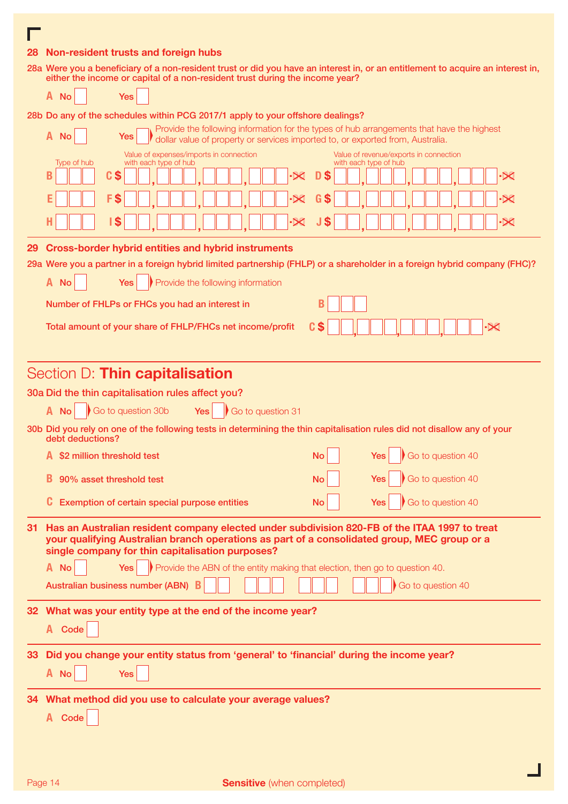| 28  | Non-resident trusts and foreign hubs                                                                                                                                                                                                                 |
|-----|------------------------------------------------------------------------------------------------------------------------------------------------------------------------------------------------------------------------------------------------------|
|     | 28a Were you a beneficiary of a non-resident trust or did you have an interest in, or an entitlement to acquire an interest in,<br>either the income or capital of a non-resident trust during the income year?                                      |
|     | A<br><b>No</b><br>Yes                                                                                                                                                                                                                                |
|     | 28b Do any of the schedules within PCG 2017/1 apply to your offshore dealings?                                                                                                                                                                       |
|     | Provide the following information for the types of hub arrangements that have the highest<br>A<br><b>No</b><br>Yes<br>dollar value of property or services imported to, or exported from, Australia.                                                 |
|     | Value of revenue/exports in connection<br>Value of expenses/imports in connection<br>Type of hub<br>with each type of hub<br>with each type of hub<br>B<br>C S<br>$\Join$<br>·×                                                                      |
|     | G<br>·×<br>$\bm{\times}$                                                                                                                                                                                                                             |
|     | $\bm{\times}$<br>·×                                                                                                                                                                                                                                  |
| 29  | <b>Cross-border hybrid entities and hybrid instruments</b>                                                                                                                                                                                           |
|     | 29a Were you a partner in a foreign hybrid limited partnership (FHLP) or a shareholder in a foreign hybrid company (FHC)?                                                                                                                            |
|     | Provide the following information<br>A No<br>Yes                                                                                                                                                                                                     |
|     | Number of FHLPs or FHCs you had an interest in                                                                                                                                                                                                       |
|     | Total amount of your share of FHLP/FHCs net income/profit<br>C S                                                                                                                                                                                     |
|     |                                                                                                                                                                                                                                                      |
|     | Section D: Thin capitalisation                                                                                                                                                                                                                       |
|     | 30a Did the thin capitalisation rules affect you?                                                                                                                                                                                                    |
|     | Go to question 30b<br>Yes<br>Go to question 31<br>A No                                                                                                                                                                                               |
|     | 30b Did you rely on one of the following tests in determining the thin capitalisation rules did not disallow any of your<br>debt deductions?                                                                                                         |
|     | \$2 million threshold test                                                                                                                                                                                                                           |
|     | Go to question 40<br>90% asset threshold test<br><b>No</b><br><b>Yes</b>                                                                                                                                                                             |
|     | Go to question 40<br><b>C</b> Exemption of certain special purpose entities<br><b>No</b><br><b>Yes</b>                                                                                                                                               |
|     | 31 Has an Australian resident company elected under subdivision 820-FB of the ITAA 1997 to treat<br>your qualifying Australian branch operations as part of a consolidated group, MEC group or a<br>single company for thin capitalisation purposes? |
|     | Provide the ABN of the entity making that election, then go to question 40.<br>A No<br>Yes <sub>l</sub>                                                                                                                                              |
|     | Australian business number (ABN) B<br>Go to question 40                                                                                                                                                                                              |
|     | 32 What was your entity type at the end of the income year?                                                                                                                                                                                          |
|     | A Code                                                                                                                                                                                                                                               |
| 33. | Did you change your entity status from 'general' to 'financial' during the income year?                                                                                                                                                              |
|     | A No<br><b>Yes</b>                                                                                                                                                                                                                                   |
|     | 34 What method did you use to calculate your average values?                                                                                                                                                                                         |
|     | A Code                                                                                                                                                                                                                                               |
|     |                                                                                                                                                                                                                                                      |

Ц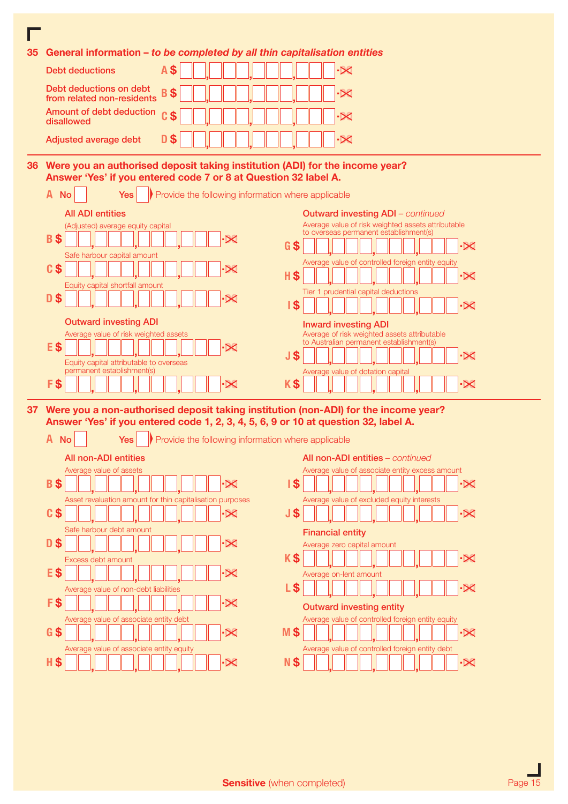| 35 | General information – to be completed by all thin capitalisation entities                                                                                                     |             |                                                                                                |
|----|-------------------------------------------------------------------------------------------------------------------------------------------------------------------------------|-------------|------------------------------------------------------------------------------------------------|
|    | A \$<br><b>Debt deductions</b>                                                                                                                                                |             | ·×                                                                                             |
|    | Debt deductions on debt<br>R<br>$\mathbf{\hat{s}}$                                                                                                                            |             | ∙×                                                                                             |
|    | from related non-residents<br>Amount of debt deduction                                                                                                                        |             |                                                                                                |
|    | C<br>\$<br>disallowed                                                                                                                                                         |             | ·×                                                                                             |
|    | $D$ $S$<br>Adjusted average debt                                                                                                                                              |             | ∙×                                                                                             |
|    | 36 Were you an authorised deposit taking institution (ADI) for the income year?                                                                                               |             |                                                                                                |
|    | Answer 'Yes' if you entered code 7 or 8 at Question 32 label A.                                                                                                               |             |                                                                                                |
|    | Provide the following information where applicable<br>A<br><b>No</b><br><b>Yes</b>                                                                                            |             |                                                                                                |
|    | <b>All ADI entities</b><br>(Adjusted) average equity capital                                                                                                                  |             | <b>Outward investing ADI</b> – continued<br>Average value of risk weighted assets attributable |
|    | <b>B</b> \$<br>·×                                                                                                                                                             |             | to overseas permanent establishment(s)                                                         |
|    | Safe harbour capital amount                                                                                                                                                   | $G$ \$      | $\overline{\times}$<br>Average value of controlled foreign entity equity                       |
|    | C \$<br>·×                                                                                                                                                                    | H\$         | $\overline{\times}$                                                                            |
|    | Equity capital shortfall amount<br>D\$<br>·×                                                                                                                                  |             | Tier 1 prudential capital deductions                                                           |
|    |                                                                                                                                                                               | 1\$         | ۰X                                                                                             |
|    | <b>Outward investing ADI</b><br>Average value of risk weighted assets                                                                                                         |             | <b>Inward investing ADI</b><br>Average of risk weighted assets attributable                    |
|    | E\$<br>·×                                                                                                                                                                     |             | to Australian permanent establishment(s)                                                       |
|    | Equity capital attributable to overseas<br>permanent establishment(s)                                                                                                         | J \$        | $\cdot \times$<br>Average value of dotation capital                                            |
|    | F\$<br>$\propto$                                                                                                                                                              | K\$         | $\overline{\times}$                                                                            |
|    |                                                                                                                                                                               |             |                                                                                                |
|    | 37 Were you a non-authorised deposit taking institution (non-ADI) for the income year?<br>Answer 'Yes' if you entered code 1, 2, 3, 4, 5, 6, 9 or 10 at question 32, label A. |             |                                                                                                |
|    | Provide the following information where applicable<br>A<br><b>No</b><br>Yes                                                                                                   |             |                                                                                                |
|    | <b>All non-ADI entities</b>                                                                                                                                                   |             | All non-ADI entities - continued                                                               |
|    | Average value of assets                                                                                                                                                       |             | Average value of associate entity excess amount                                                |
|    | <b>B</b> \$<br>ż<br>Asset revaluation amount for thin capitalisation purposes                                                                                                 | 1\$         | ·×<br>Average value of excluded equity interests                                               |
|    | $C$ \$<br>·×                                                                                                                                                                  | <b>J\$</b>  | ·×                                                                                             |
|    | Safe harbour debt amount                                                                                                                                                      |             | <b>Financial entity</b>                                                                        |
|    | D\$<br>·×                                                                                                                                                                     |             | Average zero capital amount                                                                    |
|    | Excess debt amount<br>E\$<br>·×                                                                                                                                               | <b>K\$</b>  |                                                                                                |
|    | Average value of non-debt liabilities                                                                                                                                         | $L$ \$      | Average on-lent amount<br>۰×                                                                   |
|    | F\$<br>·×                                                                                                                                                                     |             | <b>Outward investing entity</b>                                                                |
|    | Average value of associate entity debt                                                                                                                                        |             | Average value of controlled foreign entity equity                                              |
|    | $G$ \$<br>·×                                                                                                                                                                  | <b>M\$</b>  | ·×                                                                                             |
|    | Average value of associate entity equity<br>H\$<br>·×                                                                                                                         | <b>N \$</b> | Average value of controlled foreign entity debt<br>·×                                          |
|    |                                                                                                                                                                               |             |                                                                                                |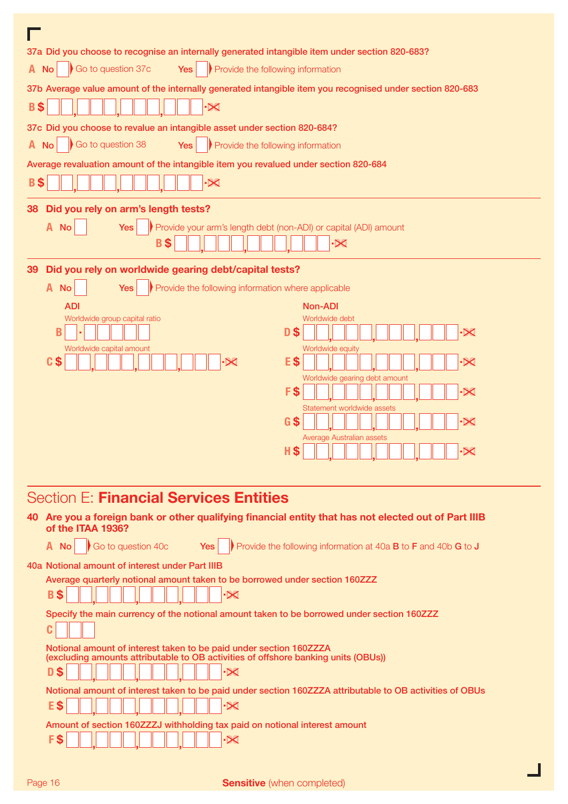|             | 37a Did you choose to recognise an internally generated intangible item under section 820-683?                                                           |
|-------------|----------------------------------------------------------------------------------------------------------------------------------------------------------|
| A           | Go to question 37c<br>Provide the following information<br><b>No</b><br><b>Yes</b>                                                                       |
| <b>B</b> \$ | 37b Average value amount of the internally generated intangible item you recognised under section 820-683<br>·×                                          |
|             | 37c Did you choose to revalue an intangible asset under section 820-684?                                                                                 |
|             | Go to question 38<br>Provide the following information<br>No<br>Yes                                                                                      |
|             | Average revaluation amount of the intangible item you revalued under section 820-684                                                                     |
| <b>B</b> \$ | -X                                                                                                                                                       |
| 38          | Did you rely on arm's length tests?                                                                                                                      |
|             | Provide your arm's length debt (non-ADI) or capital (ADI) amount<br>$\mathsf{A}$<br><b>No</b><br>Yes<br><b>B</b> \$<br>·×                                |
| 39          | Did you rely on worldwide gearing debt/capital tests?                                                                                                    |
|             | Provide the following information where applicable<br>A No<br>Yes                                                                                        |
|             | <b>ADI</b><br><b>Non-ADI</b>                                                                                                                             |
|             | Worldwide group capital ratio<br>Worldwide debt<br><b>D</b> \$<br>B                                                                                      |
|             | Worldwide capital amount<br>Worldwide equity                                                                                                             |
|             | $C$ \$<br><b>E\$</b>                                                                                                                                     |
|             | Worldwide gearing debt amount<br>F\$                                                                                                                     |
|             | Statement worldwide assets                                                                                                                               |
|             | $G$ \$                                                                                                                                                   |
|             | Average Australian assets<br>H\$<br>۰×                                                                                                                   |
|             |                                                                                                                                                          |
|             |                                                                                                                                                          |
|             | <b>Section E: Financial Services Entities</b>                                                                                                            |
|             | 40 Are you a foreign bank or other qualifying financial entity that has not elected out of Part IIIB<br>of the ITAA 1936?                                |
|             | Provide the following information at 40a B to F and 40b G to J<br>Go to question 40c<br>A No<br><b>Yes</b>                                               |
|             | 40a Notional amount of interest under Part IIIB                                                                                                          |
|             | Average quarterly notional amount taken to be borrowed under section 160ZZZ                                                                              |
|             | <b>B</b> \$<br>۰×                                                                                                                                        |
|             | Specify the main currency of the notional amount taken to be borrowed under section 160ZZZ                                                               |
|             |                                                                                                                                                          |
|             | Notional amount of interest taken to be paid under section 160ZZZA<br>(excluding amounts attributable to OB activities of offshore banking units (OBUs)) |
|             | <b>D</b> \$<br>·×                                                                                                                                        |
|             | Notional amount of interest taken to be paid under section 160ZZZA attributable to OB activities of OBUs                                                 |
|             | E\$<br>$\propto$                                                                                                                                         |
|             | Amount of section 160ZZZJ withholding tax paid on notional interest amount<br>F \$<br>·×                                                                 |

L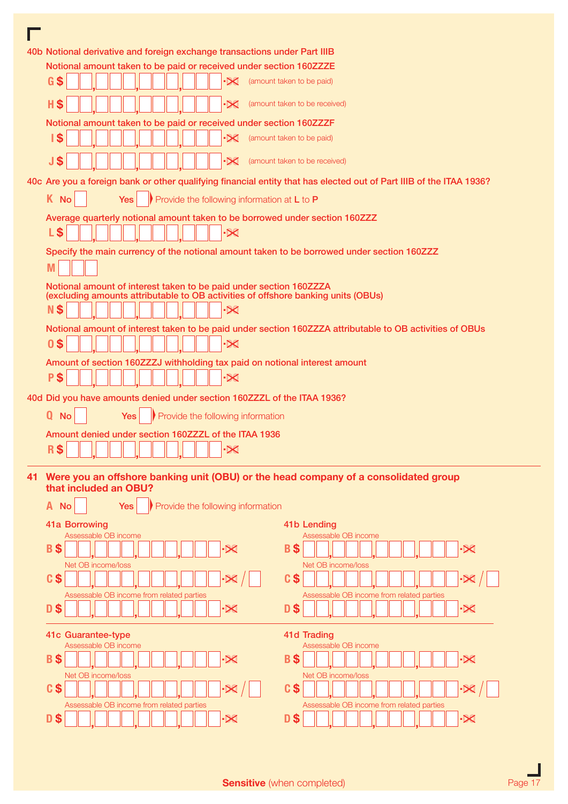| 40b Notional derivative and foreign exchange transactions under Part IIIB                                                                               |                                                                |
|---------------------------------------------------------------------------------------------------------------------------------------------------------|----------------------------------------------------------------|
| Notional amount taken to be paid or received under section 160ZZZE                                                                                      |                                                                |
| G\$<br>$\propto$                                                                                                                                        | (amount taken to be paid)                                      |
| H\$<br>·×                                                                                                                                               | (amount taken to be received)                                  |
| Notional amount taken to be paid or received under section 160ZZZF                                                                                      |                                                                |
| \$<br>·×                                                                                                                                                | (amount taken to be paid)                                      |
| J\$<br>$\overline{\times}$                                                                                                                              | (amount taken to be received)                                  |
| 40c Are you a foreign bank or other qualifying financial entity that has elected out of Part IIIB of the ITAA 1936?                                     |                                                                |
| Provide the following information at L to P<br>K No<br>Yes                                                                                              |                                                                |
| Average quarterly notional amount taken to be borrowed under section 160ZZZ                                                                             |                                                                |
| L \$<br>۰×                                                                                                                                              |                                                                |
| Specify the main currency of the notional amount taken to be borrowed under section 160ZZZ<br>M                                                         |                                                                |
|                                                                                                                                                         |                                                                |
| Notional amount of interest taken to be paid under section 160ZZZA<br>(excluding amounts attributable to OB activities of offshore banking units (OBUs) |                                                                |
| <b>N \$</b><br>·×                                                                                                                                       |                                                                |
| Notional amount of interest taken to be paid under section 160ZZZA attributable to OB activities of OBUs                                                |                                                                |
| 0\$<br>·×                                                                                                                                               |                                                                |
| Amount of section 160ZZZJ withholding tax paid on notional interest amount<br><b>P</b> \$<br>·×                                                         |                                                                |
| 40d Did you have amounts denied under section 160ZZZL of the ITAA 1936?                                                                                 |                                                                |
| Provide the following information<br>Q<br><b>No</b><br><b>Yes</b>                                                                                       |                                                                |
| Amount denied under section 160ZZZL of the ITAA 1936                                                                                                    |                                                                |
| R\$<br>·×<br>⊔"L                                                                                                                                        |                                                                |
| 41 Were you an offshore banking unit (OBU) or the head company of a consolidated group                                                                  |                                                                |
| that included an OBU?                                                                                                                                   |                                                                |
| Provide the following information<br>A<br><b>No</b><br><b>Yes</b>                                                                                       |                                                                |
| 41a Borrowing<br>Assessable OB income                                                                                                                   | 41b Lending<br>Assessable OB income                            |
| B<br><b>S</b>                                                                                                                                           | <b>B</b> \$<br>·X                                              |
| Net OB income/loss<br>C \$                                                                                                                              | Net OB income/loss<br>$C$ \$                                   |
| ·×<br>Assessable OB income from related parties                                                                                                         | $\cdot \times$ /<br>Assessable OB income from related parties  |
| D<br><b>S</b><br>·×                                                                                                                                     | D\$<br>$\overline{\times}$                                     |
| 41c Guarantee-type<br>Assessable OB income                                                                                                              | 41d Trading<br>Assessable OB income                            |
| <b>B</b> \$                                                                                                                                             | <b>B</b> \$<br>·X                                              |
| Net OB income/loss                                                                                                                                      | Net OB income/loss                                             |
| C \$<br>·×                                                                                                                                              | $C$ \$<br>$\propto$                                            |
| Assessable OB income from related parties<br>D\$<br>$\overline{\mathsf{X}}$                                                                             | Assessable OB income from related parties<br><b>D</b> \$<br>·× |
|                                                                                                                                                         |                                                                |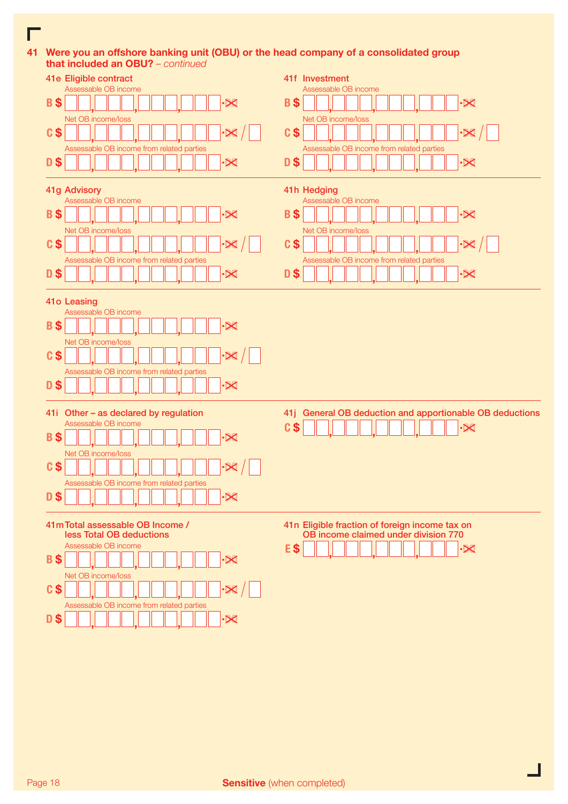### 41 Were you an offshore banking unit (OBU) or the head company of a consolidated group that included an OBU? *– continued*

|                           | 41e Eligible contract                                                | 41f Investment                                                                         |
|---------------------------|----------------------------------------------------------------------|----------------------------------------------------------------------------------------|
| <b>B</b> \$               | Assessable OB income<br>·×                                           | Assessable OB income<br><b>B</b> \$<br>۰×                                              |
| $C$ \$                    | Net OB income/loss<br>$\cdot \times$ /                               | Net OB income/loss<br>$C$ \$<br>$\cdot \times$ /                                       |
| D\$                       | Assessable OB income from related parties<br>ż.                      | Assessable OB income from related parties<br><b>D\$</b><br>$\overline{\mathsf{X}}$     |
|                           | 41g Advisory                                                         | 41h Hedging                                                                            |
| <b>B</b> \$               | Assessable OB income<br>·×                                           | Assessable OB income<br><b>B</b> \$<br>$\overline{\times}$                             |
| $C$ \$                    | Net OB income/loss<br>$\mathbf{\hat{X}}$                             | Net OB income/loss<br>$C$ \$<br>$\cdot \times$ /                                       |
| D\$                       | Assessable OB income from related parties<br>$\overline{\mathsf{X}}$ | Assessable OB income from related parties<br><b>D</b> \$<br>·×                         |
|                           | 41o Leasing                                                          |                                                                                        |
| <b>B</b> \$               | Assessable OB income<br>·×<br>Net OB income/loss                     |                                                                                        |
| $C$ \$                    | $\cdot \Join$ $/$ $\mid$                                             |                                                                                        |
| D\$                       | Assessable OB income from related parties<br>$\overline{\mathsf{x}}$ |                                                                                        |
|                           | 41i Other - as declared by regulation                                | 41j General OB deduction and apportionable OB deductions                               |
| <b>B</b> \$               | Assessable OB income<br>ż                                            | $C$ \$<br>·×                                                                           |
| $C$ \$                    | Net OB income/loss<br>·⊠ /                                           |                                                                                        |
| $\mathsf{D}$ $\mathsf{S}$ | Assessable OB income from related parties<br>$\mathbf{\times}$       |                                                                                        |
|                           | 41m Total assessable OB Income /<br>less Total OB deductions         | 41n Eligible fraction of foreign income tax on<br>OB income claimed under division 770 |
| <b>B</b> \$               | Assessable OB income<br>Ż                                            | E \$<br>$\bm{\times}$                                                                  |
| $C$ \$                    | Net OB income/loss<br>$\cdot \Join / \mid \; \; \mid$                |                                                                                        |
| D\$                       | Assessable OB income from related parties<br>$\overline{\mathsf{X}}$ |                                                                                        |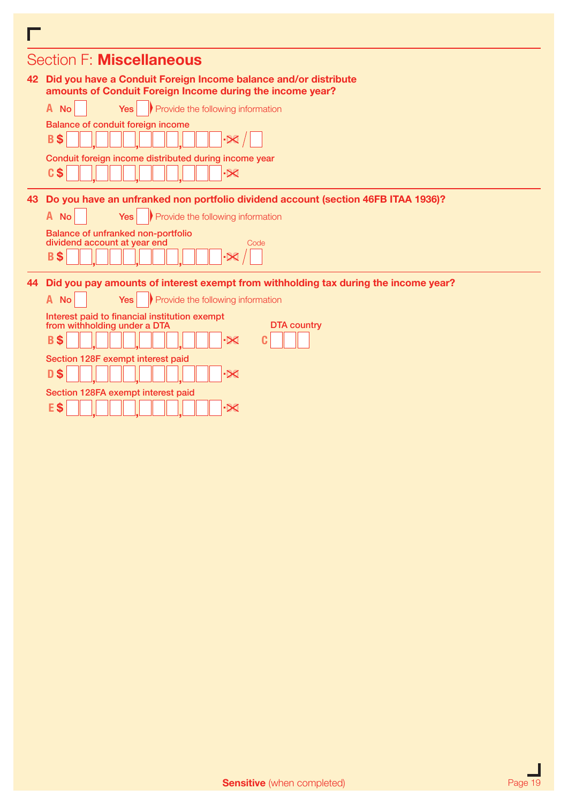| I  |                                                                                                                              |
|----|------------------------------------------------------------------------------------------------------------------------------|
|    | Section F: <b>Miscellaneous</b>                                                                                              |
| 42 | Did you have a Conduit Foreign Income balance and/or distribute<br>amounts of Conduit Foreign Income during the income year? |
|    | Provide the following information<br>A No<br>Yes                                                                             |
|    | Balance of conduit foreign income                                                                                            |
|    | <b>B</b> \$<br>$\cdot \times$ /                                                                                              |
|    | Conduit foreign income distributed during income year                                                                        |
|    | $C$ \$<br>$\overline{\times}$                                                                                                |
| 43 | Do you have an unfranked non portfolio dividend account (section 46FB ITAA 1936)?                                            |
|    | Provide the following information<br>A No<br>Yes                                                                             |
|    | Balance of unfranked non-portfolio                                                                                           |
|    | dividend account at year end<br>Code                                                                                         |
|    | <b>B</b> \$                                                                                                                  |
| 44 | Did you pay amounts of interest exempt from withholding tax during the income year?                                          |
|    | Provide the following information<br>A<br><b>No</b><br><b>Yes</b>                                                            |
|    | Interest paid to financial institution exempt<br><b>DTA country</b><br>from withholding under a DTA                          |
|    | <b>B</b> \$<br>·×                                                                                                            |
|    | Section 128F exempt interest paid                                                                                            |
|    | D<br>·×<br><b>S</b>                                                                                                          |

.00 , , \$ , <sup>E</sup>

 Section 128FA exempt interest paid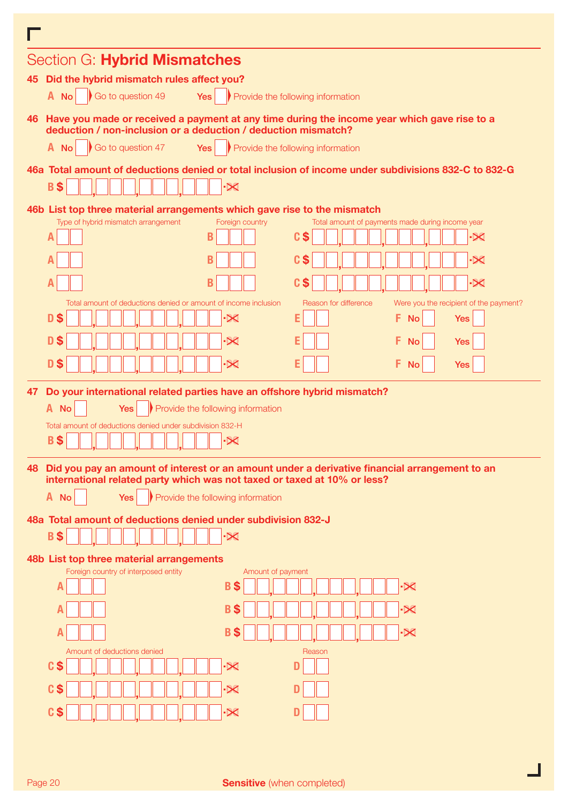|           | Section G: <b>Hybrid Mismatches</b>                                                                                                                                       |                                   |                                   |                                                  |
|-----------|---------------------------------------------------------------------------------------------------------------------------------------------------------------------------|-----------------------------------|-----------------------------------|--------------------------------------------------|
| 45        | Did the hybrid mismatch rules affect you?                                                                                                                                 |                                   |                                   |                                                  |
|           | Go to question 49<br>$A$ No                                                                                                                                               | Yes                               | Provide the following information |                                                  |
| 46.       | Have you made or received a payment at any time during the income year which gave rise to a                                                                               |                                   |                                   |                                                  |
|           | deduction / non-inclusion or a deduction / deduction mismatch?                                                                                                            |                                   |                                   |                                                  |
| A         | Go to question 47<br><b>No</b>                                                                                                                                            | <b>Yes</b>                        | Provide the following information |                                                  |
|           | 46a Total amount of deductions denied or total inclusion of income under subdivisions 832-C to 832-G                                                                      |                                   |                                   |                                                  |
|           | <b>B</b> \$                                                                                                                                                               | ۰×                                |                                   |                                                  |
|           | 46b List top three material arrangements which gave rise to the mismatch                                                                                                  |                                   |                                   |                                                  |
|           | Type of hybrid mismatch arrangement                                                                                                                                       | Foreign country<br>R              | $C$ \$                            | Total amount of payments made during income year |
|           |                                                                                                                                                                           |                                   |                                   | ·×                                               |
|           |                                                                                                                                                                           |                                   | C S                               | ·×                                               |
|           |                                                                                                                                                                           |                                   | C \$                              | ·×                                               |
|           | Total amount of deductions denied or amount of income inclusion                                                                                                           |                                   | Reason for difference             | Were you the recipient of the payment?           |
| D         |                                                                                                                                                                           | ·×                                | E                                 | F.<br><b>No</b><br>Yes                           |
| D         |                                                                                                                                                                           |                                   | E                                 | <b>No</b><br>Yes                                 |
|           |                                                                                                                                                                           |                                   |                                   |                                                  |
|           | D \$                                                                                                                                                                      | ·×                                | E                                 | F.<br><b>No</b><br>Yes                           |
|           | Do your international related parties have an offshore hybrid mismatch?                                                                                                   |                                   |                                   |                                                  |
|           | A No<br>Yes                                                                                                                                                               | Provide the following information |                                   |                                                  |
| B         | Total amount of deductions denied under subdivision 832-H<br><b>S</b>                                                                                                     | ·X                                |                                   |                                                  |
|           |                                                                                                                                                                           |                                   |                                   |                                                  |
|           | Did you pay an amount of interest or an amount under a derivative financial arrangement to an<br>international related party which was not taxed or taxed at 10% or less? |                                   |                                   |                                                  |
|           | A No<br><b>Yes</b>                                                                                                                                                        | Provide the following information |                                   |                                                  |
|           | 48a Total amount of deductions denied under subdivision 832-J                                                                                                             |                                   |                                   |                                                  |
|           | <b>B</b> \$                                                                                                                                                               | ·×                                |                                   |                                                  |
|           | 48b List top three material arrangements                                                                                                                                  |                                   |                                   |                                                  |
|           | Foreign country of interposed entity                                                                                                                                      | Amount of payment                 |                                   |                                                  |
|           | Α                                                                                                                                                                         | <b>B</b> \$                       |                                   | ·×                                               |
|           |                                                                                                                                                                           | B<br><sup>\$</sup>                |                                   | ·×                                               |
|           |                                                                                                                                                                           | <b>B</b> \$                       |                                   | ż                                                |
|           | Amount of deductions denied                                                                                                                                               |                                   | Reason                            |                                                  |
|           | $C$ \$                                                                                                                                                                    | ·×                                | D                                 |                                                  |
| 47<br>48. | C <sub>s</sub>                                                                                                                                                            | ·X                                | n                                 |                                                  |

 $\overline{\mathsf{I}}$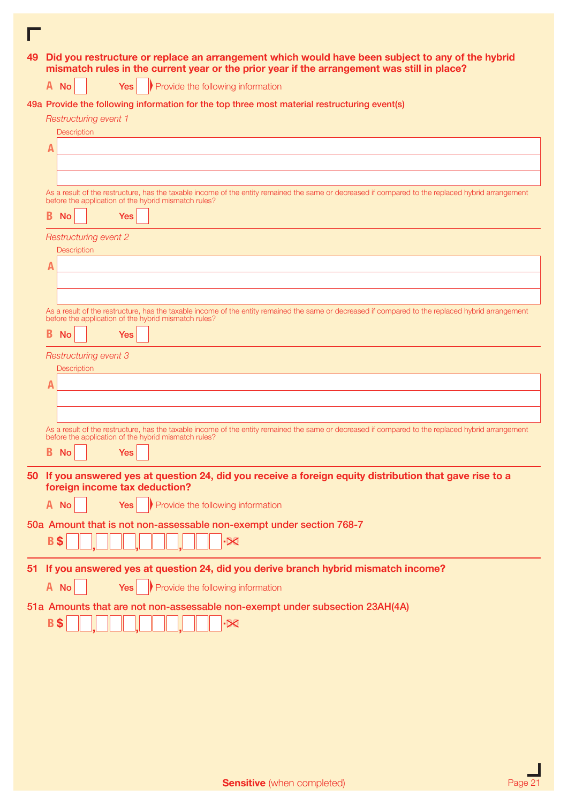| 49 | Did you restructure or replace an arrangement which would have been subject to any of the hybrid<br>mismatch rules in the current year or the prior year if the arrangement was still in place?            |
|----|------------------------------------------------------------------------------------------------------------------------------------------------------------------------------------------------------------|
|    | Provide the following information<br><b>Yes</b><br>A No                                                                                                                                                    |
|    | 49a Provide the following information for the top three most material restructuring event(s)                                                                                                               |
|    | <b>Restructuring event 1</b>                                                                                                                                                                               |
|    | Description                                                                                                                                                                                                |
|    | А                                                                                                                                                                                                          |
|    |                                                                                                                                                                                                            |
|    | As a result of the restructure, has the taxable income of the entity remained the same or decreased if compared to the replaced hybrid arrangement                                                         |
|    | before the application of the hybrid mismatch rules?                                                                                                                                                       |
|    | в<br><b>No</b><br><b>Yes</b>                                                                                                                                                                               |
|    | <b>Restructuring event 2</b>                                                                                                                                                                               |
|    | <b>Description</b>                                                                                                                                                                                         |
|    | А                                                                                                                                                                                                          |
|    |                                                                                                                                                                                                            |
|    |                                                                                                                                                                                                            |
|    | As a result of the restructure, has the taxable income of the entity remained the same or decreased if compared to the replaced hybrid arrangement<br>before the application of the hybrid mismatch rules? |
|    | в<br><b>No</b><br>Yes                                                                                                                                                                                      |
|    | <b>Restructuring event 3</b>                                                                                                                                                                               |
|    | <b>Description</b>                                                                                                                                                                                         |
|    |                                                                                                                                                                                                            |
|    |                                                                                                                                                                                                            |
|    |                                                                                                                                                                                                            |
|    | As a result of the restructure, has the taxable income of the entity remained the same or decreased if compared to the replaced hybrid arrangement<br>before the application of the hybrid mismatch rules? |
|    | <b>B</b> No Yes                                                                                                                                                                                            |
|    | 50 If you answered yes at question 24, did you receive a foreign equity distribution that gave rise to a                                                                                                   |
|    | foreign income tax deduction?                                                                                                                                                                              |
|    | Provide the following information<br>A No<br><b>Yes</b>                                                                                                                                                    |
|    | 50a Amount that is not non-assessable non-exempt under section 768-7                                                                                                                                       |
|    | <b>B</b> \$<br>·×                                                                                                                                                                                          |
|    |                                                                                                                                                                                                            |
|    | 51 If you answered yes at question 24, did you derive branch hybrid mismatch income?                                                                                                                       |
|    | Provide the following information<br>A No<br><b>Yes</b>                                                                                                                                                    |
|    | 51a Amounts that are not non-assessable non-exempt under subsection 23AH(4A)                                                                                                                               |
|    | <b>B</b> \$<br>$\overline{\mathsf{X}}$                                                                                                                                                                     |
|    |                                                                                                                                                                                                            |
|    |                                                                                                                                                                                                            |
|    |                                                                                                                                                                                                            |
|    |                                                                                                                                                                                                            |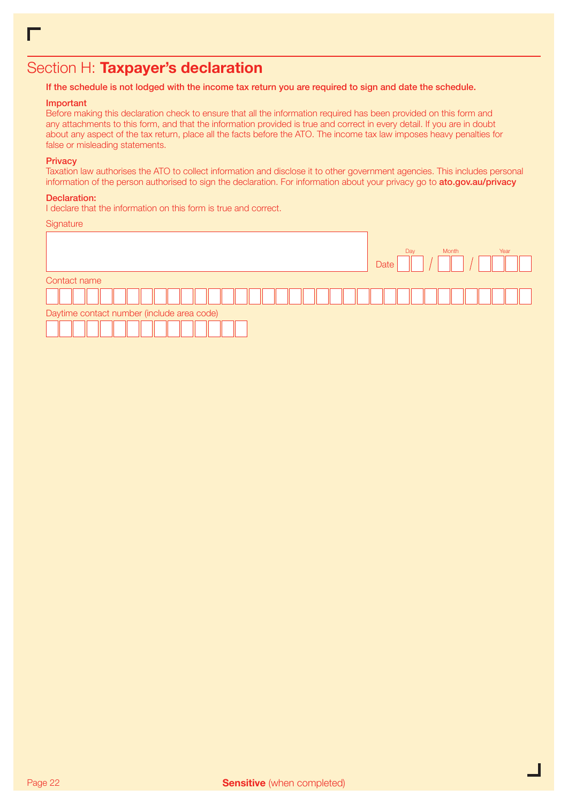# Section H: Taxpayer's declaration

#### If the schedule is not lodged with the income tax return you are required to sign and date the schedule.

#### Important

Before making this declaration check to ensure that all the information required has been provided on this form and any attachments to this form, and that the information provided is true and correct in every detail. If you are in doubt about any aspect of the tax return, place all the facts before the ATO. The income tax law imposes heavy penalties for false or misleading statements.

#### **Privacy**

Taxation law authorises the ATO to collect information and disclose it to other government agencies. This includes personal information of the person authorised to sign the declaration. For information about your privacy go to ato.gov.au/privacy

#### Declaration:

I declare that the information on this form is true and correct.

| Signature |  |
|-----------|--|
|-----------|--|

| <u> - gamma - </u>                         |                      |  |  |  |
|--------------------------------------------|----------------------|--|--|--|
|                                            |                      |  |  |  |
|                                            | Year<br>Day<br>Month |  |  |  |
|                                            | Date                 |  |  |  |
| Contact name                               |                      |  |  |  |
|                                            |                      |  |  |  |
| Daytime contact number (include area code) |                      |  |  |  |
|                                            |                      |  |  |  |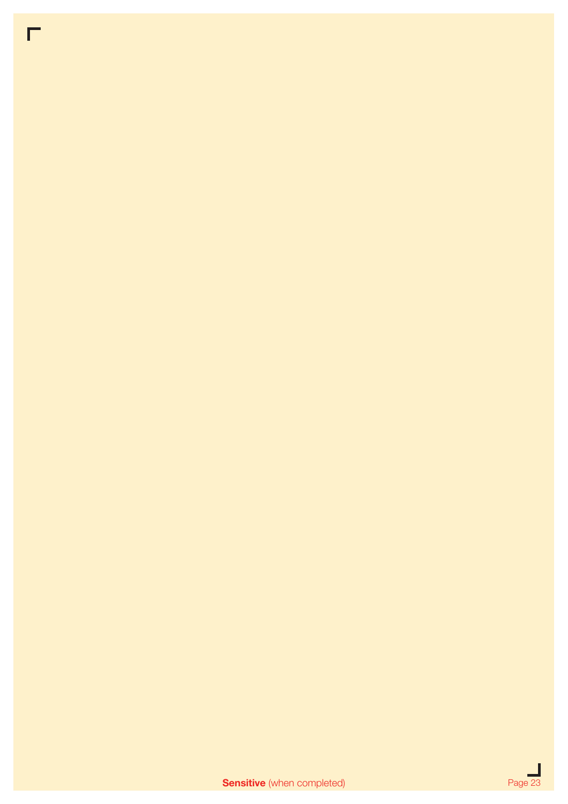

п